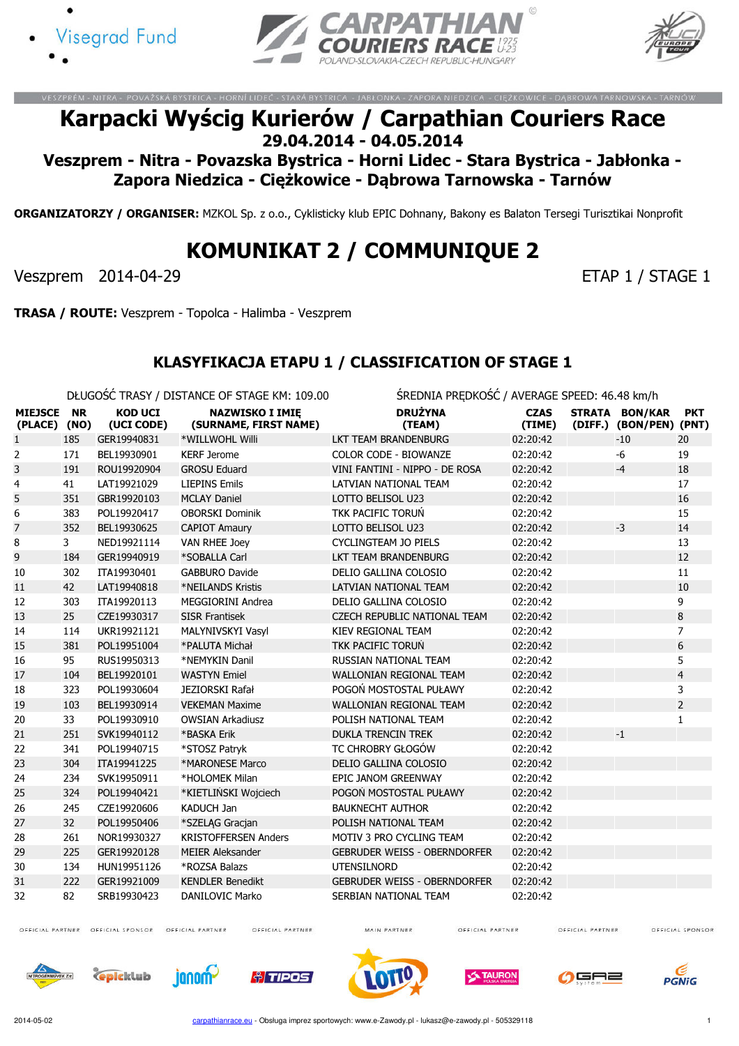





.<br>NITRA – POVAŽSKÁ BYSTRICA – HORNÍ LIDEČ – STARÁ BYSTRICA – JABŁONKA – ZAPORA NIEDZICA – CIĘŻKOWICE – DĄBROWA TA

# Karpacki Wyścig Kurierów / Carpathian Couriers Race 29.04.2014 - 04.05.2014

Veszprem - Nitra - Povazska Bystrica - Horni Lidec - Stara Bystrica - Jabłonka - Zapora Niedzica - Ciężkowice - Dąbrowa Tarnowska - Tarnów

ORGANIZATORZY / ORGANISER: MZKOL Sp. z o.o., Cyklisticky klub EPIC Dohnany, Bakony es Balaton Tersegi Turisztikai Nonprofit

# KOMUNIKAT 2 / COMMUNIQUE 2

Veszprem 2014-04-29 ETAP 1 / STAGE 1

TRASA / ROUTE: Veszprem - Topolca - Halimba - Veszprem

#### KLASYFIKACJA ETAPU 1 / CLASSIFICATION OF STAGE 1

DŁUGOŚĆ TRASY / DISTANCE OF STAGE KM: 109.00 ŚREDNIA PRĘDKOŚĆ / AVERAGE SPEED: 46.48 km/h

| <b>MIEJSCE</b><br>(PLACE) (NO) | <b>NR</b> | <b>KOD UCI</b><br>(UCI CODE) | <b>NAZWISKO I IMIĘ</b><br>(SURNAME, FIRST NAME) | <b>DRUŻYNA</b><br>(TEAM)            | <b>CZAS</b><br>(TIME) | STRATA BON/KAR<br>(DIFF.) (BON/PEN) (PNT) | <b>PKT</b>     |
|--------------------------------|-----------|------------------------------|-------------------------------------------------|-------------------------------------|-----------------------|-------------------------------------------|----------------|
| 1                              | 185       | GER19940831                  | *WILLWOHL Willi                                 | LKT TEAM BRANDENBURG                | 02:20:42              | $-10$                                     | 20             |
| 2                              | 171       | BEL19930901                  | <b>KERF Jerome</b>                              | <b>COLOR CODE - BIOWANZE</b>        | 02:20:42              | -6                                        | 19             |
| 3                              | 191       | ROU19920904                  | <b>GROSU Eduard</b>                             | VINI FANTINI - NIPPO - DE ROSA      | 02:20:42              | $-4$                                      | 18             |
| 4                              | 41        | LAT19921029                  | <b>LIEPINS Emils</b>                            | LATVIAN NATIONAL TEAM               | 02:20:42              |                                           | 17             |
| 5                              | 351       | GBR19920103                  | <b>MCLAY Daniel</b>                             | LOTTO BELISOL U23                   | 02:20:42              |                                           | 16             |
| 6                              | 383       | POL19920417                  | <b>OBORSKI Dominik</b>                          | TKK PACIFIC TORUŃ                   | 02:20:42              |                                           | 15             |
| 7                              | 352       | BEL19930625                  | <b>CAPIOT Amaury</b>                            | LOTTO BELISOL U23                   | 02:20:42              | $-3$                                      | 14             |
| 8                              | 3         | NED19921114                  | <b>VAN RHEE Joey</b>                            | CYCLINGTEAM JO PIELS                | 02:20:42              |                                           | 13             |
| 9                              | 184       | GER19940919                  | *SOBALLA Carl                                   | LKT TEAM BRANDENBURG                | 02:20:42              |                                           | 12             |
| 10                             | 302       | ITA19930401                  | <b>GABBURO Davide</b>                           | DELIO GALLINA COLOSIO               | 02:20:42              |                                           | 11             |
| 11                             | 42        | LAT19940818                  | *NEILANDS Kristis                               | LATVIAN NATIONAL TEAM               | 02:20:42              |                                           | 10             |
| 12                             | 303       | ITA19920113                  | <b>MEGGIORINI Andrea</b>                        | DELIO GALLINA COLOSIO               | 02:20:42              |                                           | 9              |
| 13                             | 25        | CZE19930317                  | <b>SISR Frantisek</b>                           | <b>CZECH REPUBLIC NATIONAL TEAM</b> | 02:20:42              |                                           | 8              |
| 14                             | 114       | UKR19921121                  | MALYNIVSKYI Vasyl                               | KIEV REGIONAL TEAM                  | 02:20:42              |                                           | $\overline{7}$ |
| 15                             | 381       | POL19951004                  | *PALUTA Michał                                  | <b>TKK PACIFIC TORUŃ</b>            | 02:20:42              |                                           | 6              |
| 16                             | 95        | RUS19950313                  | *NEMYKIN Danil                                  | RUSSIAN NATIONAL TEAM               | 02:20:42              |                                           | 5              |
| 17                             | 104       | BEL19920101                  | <b>WASTYN Emiel</b>                             | WALLONIAN REGIONAL TEAM             | 02:20:42              |                                           | $\overline{4}$ |
| 18                             | 323       | POL19930604                  | JEZIORSKI Rafał                                 | POGOŃ MOSTOSTAL PUŁAWY              | 02:20:42              |                                           | 3              |
| 19                             | 103       | BEL19930914                  | <b>VEKEMAN Maxime</b>                           | <b>WALLONIAN REGIONAL TEAM</b>      | 02:20:42              |                                           | $\overline{2}$ |
| 20                             | 33        | POL19930910                  | <b>OWSIAN Arkadiusz</b>                         | POLISH NATIONAL TEAM                | 02:20:42              |                                           | 1              |
| 21                             | 251       | SVK19940112                  | *BASKA Erik                                     | <b>DUKLA TRENCIN TREK</b>           | 02:20:42              | $-1$                                      |                |
| 22                             | 341       | POL19940715                  | *STOSZ Patryk                                   | TC CHROBRY GŁOGÓW                   | 02:20:42              |                                           |                |
| 23                             | 304       | ITA19941225                  | *MARONESE Marco                                 | DELIO GALLINA COLOSIO               | 02:20:42              |                                           |                |
| 24                             | 234       | SVK19950911                  | *HOLOMEK Milan                                  | EPIC JANOM GREENWAY                 | 02:20:42              |                                           |                |
| 25                             | 324       | POL19940421                  | *KIETLIŃSKI Wojciech                            | POGOŃ MOSTOSTAL PUŁAWY              | 02:20:42              |                                           |                |
| 26                             | 245       | CZE19920606                  | <b>KADUCH Jan</b>                               | <b>BAUKNECHT AUTHOR</b>             | 02:20:42              |                                           |                |
| 27                             | 32        | POL19950406                  | *SZELĄG Gracjan                                 | POLISH NATIONAL TEAM                | 02:20:42              |                                           |                |
| 28                             | 261       | NOR19930327                  | <b>KRISTOFFERSEN Anders</b>                     | MOTIV 3 PRO CYCLING TEAM            | 02:20:42              |                                           |                |
| 29                             | 225       | GER19920128                  | <b>MEIER Aleksander</b>                         | <b>GEBRUDER WEISS - OBERNDORFER</b> | 02:20:42              |                                           |                |
| 30                             | 134       | HUN19951126                  | *ROZSA Balazs                                   | <b>UTENSILNORD</b>                  | 02:20:42              |                                           |                |
| 31                             | 222       | GER19921009                  | <b>KENDLER Benedikt</b>                         | <b>GEBRUDER WEISS - OBERNDORFER</b> | 02:20:42              |                                           |                |
| 32                             | 82        | SRB19930423                  | <b>DANILOVIC Marko</b>                          | SERBIAN NATIONAL TEAM               | 02:20:42              |                                           |                |

OFFICIAL PARTNER OFFICIAL SPONSOR OFFICIAL PARTNER

OFFICIAL PARTNER

MAIN PARTNER

OFFICIAL PARTNER

OFFICIAL PARTNER













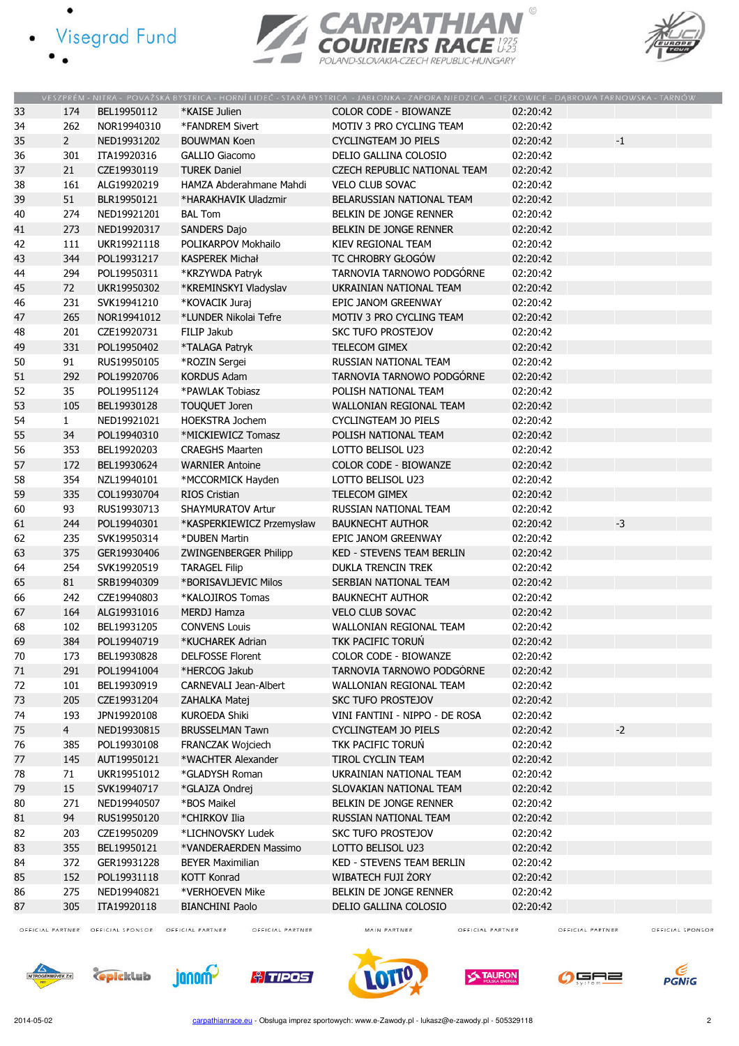- · Visegrad Fund
	-

 $\bullet$ 





|    |                |             |                                         | VESZPRÉM - NITRA - POVAŽSKÁ BYSTRICA - HORNÍ LIDEČ - STARÁ BYSTRICA - JABŁONKA - ZAPORA NIEDZICA - CIEŻKOWICE - DABROWA TARNOWSKA - TARNÓW |          |             |  |
|----|----------------|-------------|-----------------------------------------|--------------------------------------------------------------------------------------------------------------------------------------------|----------|-------------|--|
| 33 | 174            | BEL19950112 | *KAISE Julien                           | <b>COLOR CODE - BIOWANZE</b>                                                                                                               | 02:20:42 |             |  |
| 34 | 262            | NOR19940310 | *FANDREM Sivert                         | MOTIV 3 PRO CYCLING TEAM                                                                                                                   | 02:20:42 |             |  |
| 35 | $\overline{2}$ | NED19931202 | <b>BOUWMAN Koen</b>                     | <b>CYCLINGTEAM JO PIELS</b>                                                                                                                | 02:20:42 | $^{\rm -1}$ |  |
| 36 | 301            | ITA19920316 | <b>GALLIO Giacomo</b>                   | DELIO GALLINA COLOSIO                                                                                                                      | 02:20:42 |             |  |
| 37 | 21             | CZE19930119 | <b>TUREK Daniel</b>                     | <b>CZECH REPUBLIC NATIONAL TEAM</b>                                                                                                        | 02:20:42 |             |  |
| 38 | 161            | ALG19920219 | HAMZA Abderahmane Mahdi                 | <b>VELO CLUB SOVAC</b>                                                                                                                     | 02:20:42 |             |  |
| 39 | 51             | BLR19950121 | *HARAKHAVIK Uladzmir                    | BELARUSSIAN NATIONAL TEAM                                                                                                                  | 02:20:42 |             |  |
| 40 | 274            | NED19921201 | <b>BAL Tom</b>                          | BELKIN DE JONGE RENNER                                                                                                                     | 02:20:42 |             |  |
| 41 | 273            | NED19920317 | SANDERS Dajo                            | <b>BELKIN DE JONGE RENNER</b>                                                                                                              | 02:20:42 |             |  |
| 42 | 111            | UKR19921118 | POLIKARPOV Mokhailo                     | KIEV REGIONAL TEAM                                                                                                                         | 02:20:42 |             |  |
| 43 | 344            | POL19931217 | <b>KASPEREK Michał</b>                  | TC CHROBRY GŁOGÓW                                                                                                                          | 02:20:42 |             |  |
| 44 | 294            | POL19950311 | *KRZYWDA Patryk                         | TARNOVIA TARNOWO PODGÓRNE                                                                                                                  | 02:20:42 |             |  |
| 45 | 72             | UKR19950302 | *KREMINSKYI Vladyslav                   | UKRAINIAN NATIONAL TEAM                                                                                                                    | 02:20:42 |             |  |
| 46 | 231            | SVK19941210 | *KOVACIK Juraj                          | EPIC JANOM GREENWAY                                                                                                                        | 02:20:42 |             |  |
| 47 | 265            | NOR19941012 | *LUNDER Nikolai Tefre                   | MOTIV 3 PRO CYCLING TEAM                                                                                                                   | 02:20:42 |             |  |
| 48 | 201            | CZE19920731 | FILIP Jakub                             | <b>SKC TUFO PROSTEJOV</b>                                                                                                                  | 02:20:42 |             |  |
| 49 | 331            | POL19950402 | *TALAGA Patryk                          | <b>TELECOM GIMEX</b>                                                                                                                       | 02:20:42 |             |  |
| 50 | 91             | RUS19950105 | *ROZIN Sergei                           | RUSSIAN NATIONAL TEAM                                                                                                                      | 02:20:42 |             |  |
| 51 | 292            | POL19920706 | <b>KORDUS Adam</b>                      | TARNOVIA TARNOWO PODGÓRNE                                                                                                                  | 02:20:42 |             |  |
| 52 | 35             | POL19951124 | *PAWLAK Tobiasz                         | POLISH NATIONAL TEAM                                                                                                                       | 02:20:42 |             |  |
| 53 | 105            | BEL19930128 |                                         | WALLONIAN REGIONAL TEAM                                                                                                                    | 02:20:42 |             |  |
| 54 | $\mathbf{1}$   | NED19921021 | TOUQUET Joren<br><b>HOEKSTRA Jochem</b> | <b>CYCLINGTEAM JO PIELS</b>                                                                                                                | 02:20:42 |             |  |
|    |                |             |                                         |                                                                                                                                            |          |             |  |
| 55 | 34             | POL19940310 | *MICKIEWICZ Tomasz                      | POLISH NATIONAL TEAM                                                                                                                       | 02:20:42 |             |  |
| 56 | 353            | BEL19920203 | <b>CRAEGHS Maarten</b>                  | LOTTO BELISOL U23                                                                                                                          | 02:20:42 |             |  |
| 57 | 172            | BEL19930624 | <b>WARNIER Antoine</b>                  | <b>COLOR CODE - BIOWANZE</b>                                                                                                               | 02:20:42 |             |  |
| 58 | 354            | NZL19940101 | *MCCORMICK Hayden                       | LOTTO BELISOL U23                                                                                                                          | 02:20:42 |             |  |
| 59 | 335            | COL19930704 | <b>RIOS Cristian</b>                    | <b>TELECOM GIMEX</b>                                                                                                                       | 02:20:42 |             |  |
| 60 | 93             | RUS19930713 | SHAYMURATOV Artur                       | RUSSIAN NATIONAL TEAM                                                                                                                      | 02:20:42 |             |  |
| 61 | 244            | POL19940301 | *KASPERKIEWICZ Przemysław               | <b>BAUKNECHT AUTHOR</b>                                                                                                                    | 02:20:42 | $-3$        |  |
| 62 | 235            | SVK19950314 | *DUBEN Martin                           | EPIC JANOM GREENWAY                                                                                                                        | 02:20:42 |             |  |
| 63 | 375            | GER19930406 | <b>ZWINGENBERGER Philipp</b>            | <b>KED - STEVENS TEAM BERLIN</b>                                                                                                           | 02:20:42 |             |  |
| 64 | 254            | SVK19920519 | <b>TARAGEL Filip</b>                    | <b>DUKLA TRENCIN TREK</b>                                                                                                                  | 02:20:42 |             |  |
| 65 | 81             | SRB19940309 | *BORISAVLJEVIC Milos                    | SERBIAN NATIONAL TEAM                                                                                                                      | 02:20:42 |             |  |
| 66 | 242            | CZE19940803 | *KALOJIROS Tomas                        | <b>BAUKNECHT AUTHOR</b>                                                                                                                    | 02:20:42 |             |  |
| 67 | 164            | ALG19931016 | <b>MERDJ Hamza</b>                      | <b>VELO CLUB SOVAC</b>                                                                                                                     | 02:20:42 |             |  |
| 68 | 102            | BEL19931205 | <b>CONVENS Louis</b>                    | WALLONIAN REGIONAL TEAM                                                                                                                    | 02:20:42 |             |  |
| 69 | 384            | POL19940719 | *KUCHAREK Adrian                        | <b>TKK PACIFIC TORUN</b>                                                                                                                   | 02:20:42 |             |  |
| 70 | 173            | BEL19930828 | <b>DELFOSSE Florent</b>                 | COLOR CODE - BIOWANZE                                                                                                                      | 02:20:42 |             |  |
| 71 | 291            | POL19941004 | *HERCOG Jakub                           | TARNOVIA TARNOWO PODGÓRNE                                                                                                                  | 02:20:42 |             |  |
| 72 | 101            | BEL19930919 | CARNEVALI Jean-Albert                   | WALLONIAN REGIONAL TEAM                                                                                                                    | 02:20:42 |             |  |
| 73 | 205            | CZE19931204 | ZAHALKA Matej                           | <b>SKC TUFO PROSTEJOV</b>                                                                                                                  | 02:20:42 |             |  |
| 74 | 193            | JPN19920108 | <b>KUROEDA Shiki</b>                    | VINI FANTINI - NIPPO - DE ROSA                                                                                                             | 02:20:42 |             |  |
| 75 | 4 <sup>1</sup> | NED19930815 | <b>BRUSSELMAN Tawn</b>                  | <b>CYCLINGTEAM JO PIELS</b>                                                                                                                | 02:20:42 | $-2$        |  |
| 76 | 385            | POL19930108 | <b>FRANCZAK Wojciech</b>                | TKK PACIFIC TORUN                                                                                                                          | 02:20:42 |             |  |
| 77 | 145            | AUT19950121 | *WACHTER Alexander                      | <b>TIROL CYCLIN TEAM</b>                                                                                                                   | 02:20:42 |             |  |
| 78 | 71             | UKR19951012 | *GLADYSH Roman                          | UKRAINIAN NATIONAL TEAM                                                                                                                    | 02:20:42 |             |  |
| 79 | 15             | SVK19940717 | *GLAJZA Ondrej                          | SLOVAKIAN NATIONAL TEAM                                                                                                                    | 02:20:42 |             |  |
| 80 | 271            | NED19940507 | *BOS Maikel                             | BELKIN DE JONGE RENNER                                                                                                                     | 02:20:42 |             |  |
| 81 | 94             | RUS19950120 | *CHIRKOV Ilia                           | RUSSIAN NATIONAL TEAM                                                                                                                      | 02:20:42 |             |  |
| 82 | 203            | CZE19950209 | *LICHNOVSKY Ludek                       | <b>SKC TUFO PROSTEJOV</b>                                                                                                                  | 02:20:42 |             |  |
| 83 | 355            | BEL19950121 | *VANDERAERDEN Massimo                   | LOTTO BELISOL U23                                                                                                                          | 02:20:42 |             |  |
| 84 | 372            | GER19931228 | <b>BEYER Maximilian</b>                 | KED - STEVENS TEAM BERLIN                                                                                                                  | 02:20:42 |             |  |
| 85 | 152            | POL19931118 | <b>KOTT Konrad</b>                      | WIBATECH FUJI ŻORY                                                                                                                         | 02:20:42 |             |  |
| 86 | 275            | NED19940821 | *VERHOEVEN Mike                         | BELKIN DE JONGE RENNER                                                                                                                     | 02:20:42 |             |  |
| 87 | 305            | ITA19920118 | <b>BIANCHINI Paolo</b>                  | DELIO GALLINA COLOSIO                                                                                                                      | 02:20:42 |             |  |
|    |                |             |                                         |                                                                                                                                            |          |             |  |

OFFICIAL PARTNER OFFICIAL SPONSOR OFFICIAL PARTNER

OFFICIAL PARTNER

MAIN PARTNER

OFFICIAL PARTNER

OFFICIAL PARTNER















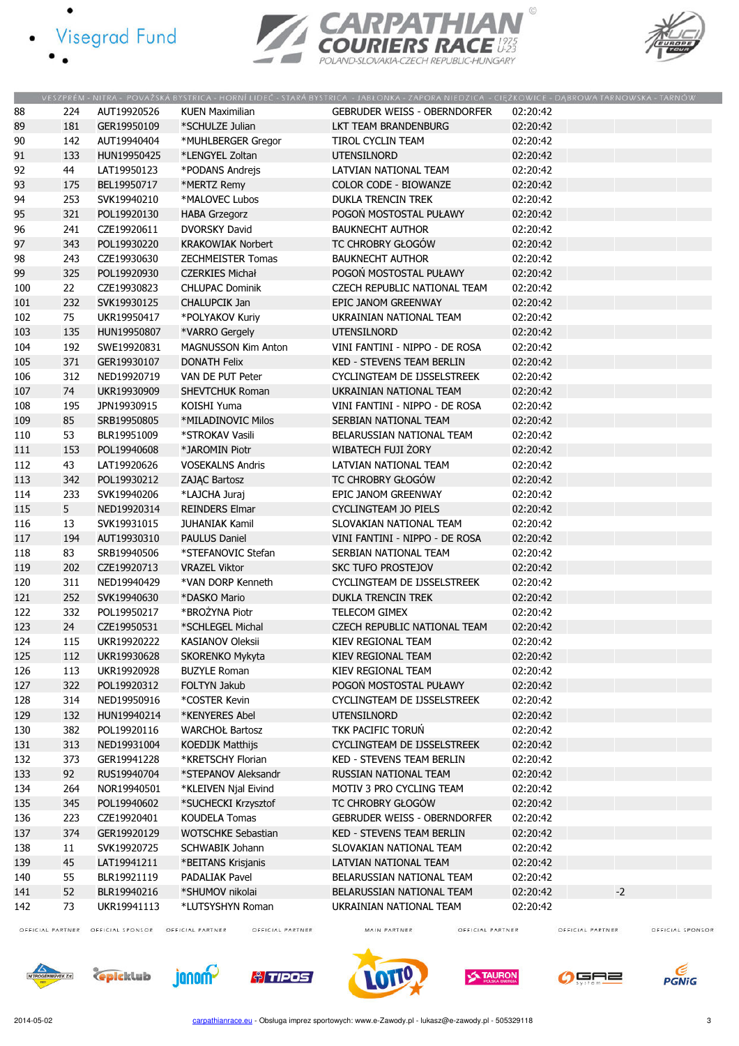- · Visegrad Fund
	-

 $\bullet$ 





|     |     |             |                            | VESZPRÉM - NITRA - POVAŽSKÁ BYSTRICA - HORNÍ LIDEČ - STARÁ BYSTRICA - JABŁONKA - ZAPORA NIEDZICA - CIĘŻKOWICE - DĄBROWA TARNOWSKA - TARNÓW |          |      |
|-----|-----|-------------|----------------------------|--------------------------------------------------------------------------------------------------------------------------------------------|----------|------|
| 88  | 224 | AUT19920526 | <b>KUEN Maximilian</b>     | <b>GEBRUDER WEISS - OBERNDORFER</b>                                                                                                        | 02:20:42 |      |
| 89  | 181 | GER19950109 | *SCHULZE Julian            | LKT TEAM BRANDENBURG                                                                                                                       | 02:20:42 |      |
| 90  | 142 | AUT19940404 | *MUHLBERGER Gregor         | TIROL CYCLIN TEAM                                                                                                                          | 02:20:42 |      |
| 91  | 133 | HUN19950425 | *LENGYEL Zoltan            | <b>UTENSILNORD</b>                                                                                                                         | 02:20:42 |      |
| 92  | 44  | LAT19950123 | *PODANS Andrejs            | LATVIAN NATIONAL TEAM                                                                                                                      | 02:20:42 |      |
| 93  | 175 | BEL19950717 | *MERTZ Remy                | <b>COLOR CODE - BIOWANZE</b>                                                                                                               | 02:20:42 |      |
| 94  | 253 | SVK19940210 | *MALOVEC Lubos             | <b>DUKLA TRENCIN TREK</b>                                                                                                                  | 02:20:42 |      |
| 95  | 321 | POL19920130 | <b>HABA Grzegorz</b>       | POGOŃ MOSTOSTAL PUŁAWY                                                                                                                     | 02:20:42 |      |
| 96  | 241 | CZE19920611 | <b>DVORSKY David</b>       | <b>BAUKNECHT AUTHOR</b>                                                                                                                    | 02:20:42 |      |
| 97  | 343 | POL19930220 | <b>KRAKOWIAK Norbert</b>   | TC CHROBRY GŁOGÓW                                                                                                                          | 02:20:42 |      |
| 98  | 243 | CZE19930630 | <b>ZECHMEISTER Tomas</b>   | <b>BAUKNECHT AUTHOR</b>                                                                                                                    | 02:20:42 |      |
| 99  | 325 | POL19920930 | <b>CZERKIES Michał</b>     | POGOŃ MOSTOSTAL PUŁAWY                                                                                                                     | 02:20:42 |      |
| 100 | 22  | CZE19930823 | <b>CHLUPAC Dominik</b>     | CZECH REPUBLIC NATIONAL TEAM                                                                                                               | 02:20:42 |      |
| 101 | 232 | SVK19930125 | <b>CHALUPCIK Jan</b>       | EPIC JANOM GREENWAY                                                                                                                        | 02:20:42 |      |
| 102 | 75  | UKR19950417 | *POLYAKOV Kuriy            | UKRAINIAN NATIONAL TEAM                                                                                                                    | 02:20:42 |      |
| 103 | 135 | HUN19950807 | *VARRO Gergely             | <b>UTENSILNORD</b>                                                                                                                         | 02:20:42 |      |
| 104 | 192 | SWE19920831 | <b>MAGNUSSON Kim Anton</b> | VINI FANTINI - NIPPO - DE ROSA                                                                                                             | 02:20:42 |      |
| 105 | 371 | GER19930107 | <b>DONATH Felix</b>        | <b>KED - STEVENS TEAM BERLIN</b>                                                                                                           | 02:20:42 |      |
| 106 | 312 | NED19920719 | VAN DE PUT Peter           | CYCLINGTEAM DE IJSSELSTREEK                                                                                                                | 02:20:42 |      |
| 107 | 74  | UKR19930909 | <b>SHEVTCHUK Roman</b>     | UKRAINIAN NATIONAL TEAM                                                                                                                    | 02:20:42 |      |
| 108 | 195 | JPN19930915 | KOISHI Yuma                | VINI FANTINI - NIPPO - DE ROSA                                                                                                             | 02:20:42 |      |
| 109 | 85  | SRB19950805 | *MILADINOVIC Milos         | SERBIAN NATIONAL TEAM                                                                                                                      | 02:20:42 |      |
| 110 | 53  | BLR19951009 | *STROKAV Vasili            | BELARUSSIAN NATIONAL TEAM                                                                                                                  | 02:20:42 |      |
| 111 | 153 | POL19940608 | *JAROMIN Piotr             | WIBATECH FUJI ŻORY                                                                                                                         | 02:20:42 |      |
| 112 | 43  | LAT19920626 | <b>VOSEKALNS Andris</b>    | LATVIAN NATIONAL TEAM                                                                                                                      | 02:20:42 |      |
| 113 | 342 | POL19930212 | ZAJĄC Bartosz              | TC CHROBRY GŁOGÓW                                                                                                                          | 02:20:42 |      |
| 114 | 233 | SVK19940206 | *LAJCHA Juraj              | EPIC JANOM GREENWAY                                                                                                                        | 02:20:42 |      |
| 115 | 5   | NED19920314 | <b>REINDERS Elmar</b>      | <b>CYCLINGTEAM JO PIELS</b>                                                                                                                | 02:20:42 |      |
| 116 | 13  | SVK19931015 | <b>JUHANIAK Kamil</b>      | SLOVAKIAN NATIONAL TEAM                                                                                                                    | 02:20:42 |      |
| 117 | 194 | AUT19930310 | <b>PAULUS Daniel</b>       | VINI FANTINI - NIPPO - DE ROSA                                                                                                             | 02:20:42 |      |
| 118 | 83  | SRB19940506 | *STEFANOVIC Stefan         | SERBIAN NATIONAL TEAM                                                                                                                      | 02:20:42 |      |
| 119 | 202 | CZE19920713 | <b>VRAZEL Viktor</b>       | <b>SKC TUFO PROSTEJOV</b>                                                                                                                  | 02:20:42 |      |
| 120 | 311 | NED19940429 | *VAN DORP Kenneth          | CYCLINGTEAM DE IJSSELSTREEK                                                                                                                | 02:20:42 |      |
| 121 | 252 | SVK19940630 | *DASKO Mario               | <b>DUKLA TRENCIN TREK</b>                                                                                                                  | 02:20:42 |      |
| 122 | 332 | POL19950217 | *BROŻYNA Piotr             | TELECOM GIMEX                                                                                                                              | 02:20:42 |      |
| 123 | 24  | CZE19950531 | *SCHLEGEL Michal           | <b>CZECH REPUBLIC NATIONAL TEAM</b>                                                                                                        | 02:20:42 |      |
| 124 | 115 | UKR19920222 | KASIANOV Oleksii           | KIEV REGIONAL TEAM                                                                                                                         | 02:20:42 |      |
| 125 | 112 | UKR19930628 | SKORENKO Mykyta            | KIEV REGIONAL TEAM                                                                                                                         | 02:20:42 |      |
| 126 | 113 | UKR19920928 | <b>BUZYLE Roman</b>        | KIEV REGIONAL TEAM                                                                                                                         | 02:20:42 |      |
| 127 | 322 | POL19920312 | FOLTYN Jakub               | POGOŃ MOSTOSTAL PUŁAWY                                                                                                                     | 02:20:42 |      |
| 128 | 314 | NED19950916 | *COSTER Kevin              | CYCLINGTEAM DE IJSSELSTREEK                                                                                                                | 02:20:42 |      |
| 129 | 132 | HUN19940214 | *KENYERES Abel             | <b>UTENSILNORD</b>                                                                                                                         | 02:20:42 |      |
| 130 | 382 | POL19920116 | <b>WARCHOŁ Bartosz</b>     | TKK PACIFIC TORUŃ                                                                                                                          | 02:20:42 |      |
| 131 | 313 | NED19931004 | <b>KOEDIJK Matthijs</b>    | CYCLINGTEAM DE IJSSELSTREEK                                                                                                                | 02:20:42 |      |
| 132 | 373 | GER19941228 | *KRETSCHY Florian          | KED - STEVENS TEAM BERLIN                                                                                                                  | 02:20:42 |      |
| 133 | 92  | RUS19940704 | *STEPANOV Aleksandr        | RUSSIAN NATIONAL TEAM                                                                                                                      | 02:20:42 |      |
| 134 | 264 | NOR19940501 | *KLEIVEN Njal Eivind       | MOTIV 3 PRO CYCLING TEAM                                                                                                                   | 02:20:42 |      |
| 135 | 345 | POL19940602 | *SUCHECKI Krzysztof        | TC CHROBRY GŁOGÓW                                                                                                                          | 02:20:42 |      |
| 136 | 223 | CZE19920401 | <b>KOUDELA Tomas</b>       | <b>GEBRUDER WEISS - OBERNDORFER</b>                                                                                                        | 02:20:42 |      |
| 137 | 374 | GER19920129 | <b>WOTSCHKE Sebastian</b>  | KED - STEVENS TEAM BERLIN                                                                                                                  | 02:20:42 |      |
| 138 | 11  | SVK19920725 | <b>SCHWABIK Johann</b>     | SLOVAKIAN NATIONAL TEAM                                                                                                                    | 02:20:42 |      |
| 139 | 45  | LAT19941211 | *BEITANS Krisjanis         | LATVIAN NATIONAL TEAM                                                                                                                      | 02:20:42 |      |
| 140 | 55  | BLR19921119 | <b>PADALIAK Pavel</b>      | BELARUSSIAN NATIONAL TEAM                                                                                                                  | 02:20:42 |      |
| 141 | 52  | BLR19940216 | *SHUMOV nikolai            | BELARUSSIAN NATIONAL TEAM                                                                                                                  | 02:20:42 | $-2$ |
| 142 | 73  | UKR19941113 | *LUTSYSHYN Roman           | UKRAINIAN NATIONAL TEAM                                                                                                                    | 02:20:42 |      |
|     |     |             |                            |                                                                                                                                            |          |      |

OFFICIAL PARTNER OFFICIAL SPONSOR OFFICIAL PARTNER

OFFICIAL PARTNER

MAIN PARTNER

OFFICIAL PARTNER

OFFICIAL PARTNER













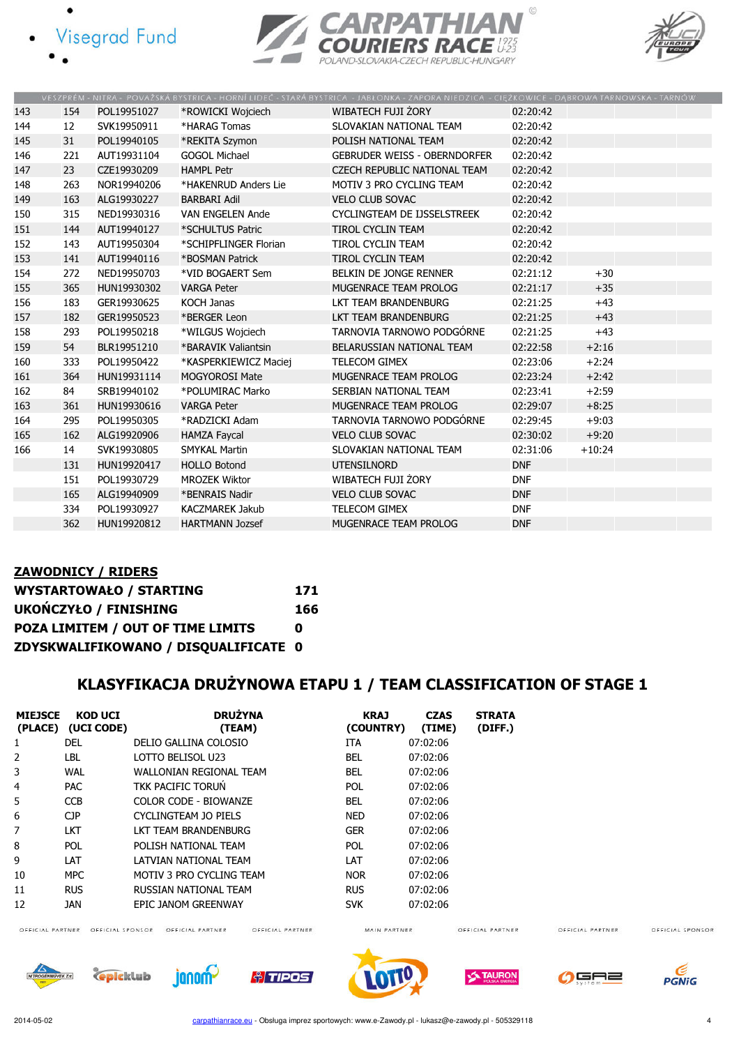- **Visegrad Fund** 
	-





|     |     |             |                         | VESZPRÉM - NITRA - POVAŽSKÁ BYSTRICA - HORNÍ LIDEČ - STARÁ BYSTRICA - JABŁONKA - ZAPORA NIEDZICA - CIĘŻKOWICE - DĄBROWA TARNOWSKA - TARNÓW |            |          |  |
|-----|-----|-------------|-------------------------|--------------------------------------------------------------------------------------------------------------------------------------------|------------|----------|--|
| 143 | 154 | POL19951027 | *ROWICKI Wojciech       | WIBATECH FUJI ŻORY                                                                                                                         | 02:20:42   |          |  |
| 144 | 12  | SVK19950911 | *HARAG Tomas            | SLOVAKIAN NATIONAL TEAM                                                                                                                    | 02:20:42   |          |  |
| 145 | 31  | POL19940105 | *REKITA Szymon          | POLISH NATIONAL TEAM                                                                                                                       | 02:20:42   |          |  |
| 146 | 221 | AUT19931104 | <b>GOGOL Michael</b>    | <b>GEBRUDER WEISS - OBERNDORFER</b>                                                                                                        | 02:20:42   |          |  |
| 147 | 23  | CZE19930209 | <b>HAMPL Petr</b>       | CZECH REPUBLIC NATIONAL TEAM                                                                                                               | 02:20:42   |          |  |
| 148 | 263 | NOR19940206 | *HAKENRUD Anders Lie    | MOTIV 3 PRO CYCLING TEAM                                                                                                                   | 02:20:42   |          |  |
| 149 | 163 | ALG19930227 | <b>BARBARI Adil</b>     | <b>VELO CLUB SOVAC</b>                                                                                                                     | 02:20:42   |          |  |
| 150 | 315 | NED19930316 | <b>VAN ENGELEN Ande</b> | CYCLINGTEAM DE IJSSELSTREEK                                                                                                                | 02:20:42   |          |  |
| 151 | 144 | AUT19940127 | *SCHULTUS Patric        | <b>TIROL CYCLIN TEAM</b>                                                                                                                   | 02:20:42   |          |  |
| 152 | 143 | AUT19950304 | *SCHIPFLINGER Florian   | <b>TIROL CYCLIN TEAM</b>                                                                                                                   | 02:20:42   |          |  |
| 153 | 141 | AUT19940116 | *BOSMAN Patrick         | TIROL CYCLIN TEAM                                                                                                                          | 02:20:42   |          |  |
| 154 | 272 | NED19950703 | *VID BOGAERT Sem        | BELKIN DE JONGE RENNER                                                                                                                     | 02:21:12   | $+30$    |  |
| 155 | 365 | HUN19930302 | <b>VARGA Peter</b>      | MUGENRACE TEAM PROLOG                                                                                                                      | 02:21:17   | $+35$    |  |
| 156 | 183 | GER19930625 | KOCH Janas              | LKT TEAM BRANDENBURG                                                                                                                       | 02:21:25   | $+43$    |  |
| 157 | 182 | GER19950523 | *BERGER Leon            | LKT TEAM BRANDENBURG                                                                                                                       | 02:21:25   | $+43$    |  |
| 158 | 293 | POL19950218 | *WILGUS Wojciech        | TARNOVIA TARNOWO PODGÓRNE                                                                                                                  | 02:21:25   | $+43$    |  |
| 159 | 54  | BLR19951210 | *BARAVIK Valiantsin     | BELARUSSIAN NATIONAL TEAM                                                                                                                  | 02:22:58   | $+2:16$  |  |
| 160 | 333 | POL19950422 | *KASPERKIEWICZ Maciej   | TELECOM GIMEX                                                                                                                              | 02:23:06   | $+2:24$  |  |
| 161 | 364 | HUN19931114 | <b>MOGYOROSI Mate</b>   | MUGENRACE TEAM PROLOG                                                                                                                      | 02:23:24   | $+2:42$  |  |
| 162 | 84  | SRB19940102 | *POLUMIRAC Marko        | SERBIAN NATIONAL TEAM                                                                                                                      | 02:23:41   | $+2:59$  |  |
| 163 | 361 | HUN19930616 | <b>VARGA Peter</b>      | MUGENRACE TEAM PROLOG                                                                                                                      | 02:29:07   | $+8:25$  |  |
| 164 | 295 | POL19950305 | *RADZICKI Adam          | TARNOVIA TARNOWO PODGÓRNE                                                                                                                  | 02:29:45   | $+9:03$  |  |
| 165 | 162 | ALG19920906 | <b>HAMZA Faycal</b>     | <b>VELO CLUB SOVAC</b>                                                                                                                     | 02:30:02   | $+9:20$  |  |
| 166 | 14  | SVK19930805 | <b>SMYKAL Martin</b>    | SLOVAKIAN NATIONAL TEAM                                                                                                                    | 02:31:06   | $+10:24$ |  |
|     | 131 | HUN19920417 | <b>HOLLO Botond</b>     | <b>UTENSILNORD</b>                                                                                                                         | <b>DNF</b> |          |  |
|     | 151 | POL19930729 | <b>MROZEK Wiktor</b>    | WIBATECH FUJI ŻORY                                                                                                                         | <b>DNF</b> |          |  |
|     | 165 | ALG19940909 | *BENRAIS Nadir          | <b>VELO CLUB SOVAC</b>                                                                                                                     | <b>DNF</b> |          |  |
|     | 334 | POL19930927 | <b>KACZMAREK Jakub</b>  | <b>TELECOM GIMEX</b>                                                                                                                       | <b>DNF</b> |          |  |
|     | 362 | HUN19920812 | <b>HARTMANN Jozsef</b>  | MUGENRACE TEAM PROLOG                                                                                                                      | <b>DNF</b> |          |  |

### ZAWODNICY / RIDERS WYSTARTOWAŁO / STARTING 171 UKOŃCZYŁO / FINISHING 166 POZA LIMITEM / OUT OF TIME LIMITS 0 ZDYSKWALIFIKOWANO / DISQUALIFICATE 0

### KLASYFIKACJA DRUŻYNOWA ETAPU 1 / TEAM CLASSIFICATION OF STAGE 1

| <b>MIEJSCE</b> | <b>KOD UCI</b><br>(PLACE) (UCI CODE) | <b>DRUŻYNA</b><br>(TEAM)       | <b>KRAJ</b><br>(COUNTRY) | <b>CZAS</b><br>(TIME) | <b>STRATA</b><br>(DIFF.) |
|----------------|--------------------------------------|--------------------------------|--------------------------|-----------------------|--------------------------|
|                | <b>DEL</b>                           | DELIO GALLINA COLOSIO          | <b>ITA</b>               | 07:02:06              |                          |
| $\mathcal{P}$  | LBL.                                 | LOTTO BELISOL U23              | <b>BEL</b>               | 07:02:06              |                          |
| 3              | <b>WAL</b>                           | <b>WALLONIAN REGIONAL TEAM</b> | <b>BEL</b>               | 07:02:06              |                          |
| 4              | <b>PAC</b>                           | TKK PACIFIC TORUN              | <b>POL</b>               | 07:02:06              |                          |
| 5              | <b>CCB</b>                           | COLOR CODE - BIOWANZE          | <b>BEL</b>               | 07:02:06              |                          |
| 6              | CJP                                  | CYCLINGTEAM JO PIELS           | NED.                     | 07:02:06              |                          |
| 7              | <b>LKT</b>                           | LKT TEAM BRANDENBURG           | <b>GER</b>               | 07:02:06              |                          |
| 8              | <b>POL</b>                           | POLISH NATIONAL TEAM           | <b>POL</b>               | 07:02:06              |                          |
| 9              | LAT                                  | LATVIAN NATIONAL TEAM          | LAT                      | 07:02:06              |                          |
| 10             | MPC                                  | MOTIV 3 PRO CYCLING TEAM       | NOR.                     | 07:02:06              |                          |
| 11             | <b>RUS</b>                           | RUSSIAN NATIONAL TEAM          | <b>RUS</b>               | 07:02:06              |                          |
| 12             | JAN                                  | EPIC JANOM GREENWAY            | <b>SVK</b>               | 07:02:06              |                          |

OFFICIAL PARTNER OFFICIAL SPONSOR OFFICIAL PARTNER

OFFICIAL PARTNER

MAIN PARTNER

OFFICIAL PARTNER

OFFICIAL PARTNER















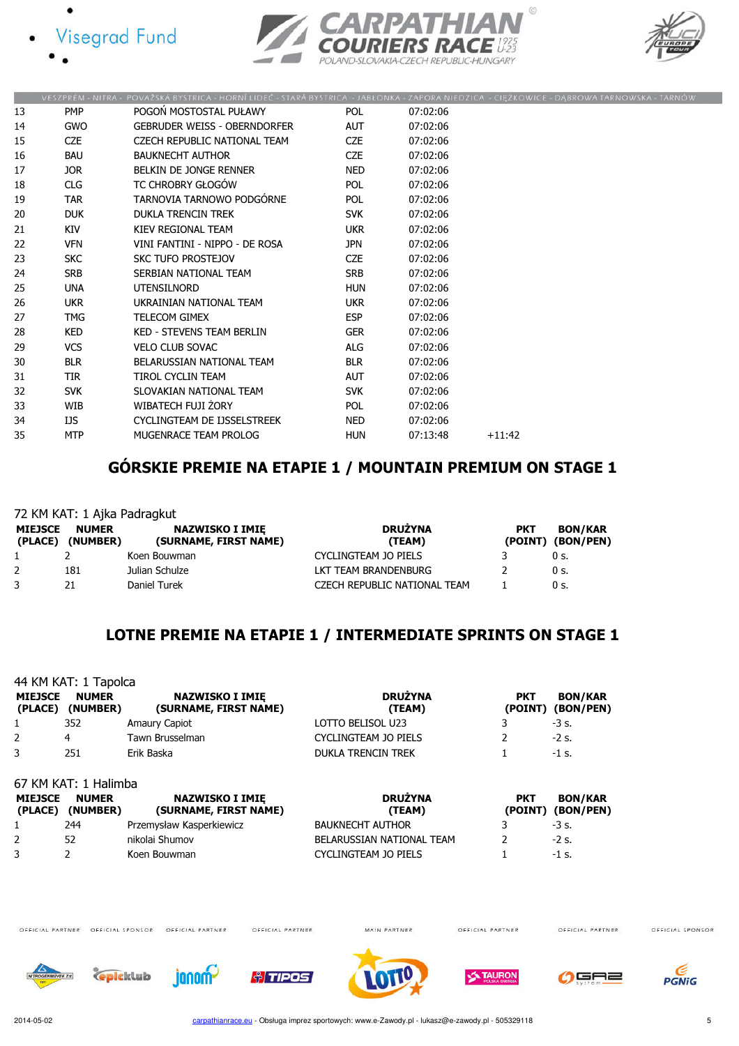





|    |                  | VESZPRÉM - NITRA - POVAŽSKÁ BYSTRICA - HORNÍ LIDEČ - STARÁ BYSTRICA - JABŁONKA - ZAPORA NIEDZICA - CIĘŻKOWICE - DĄBROWA TARNOWSKA - TARNÓ |            |          |          |  |
|----|------------------|-------------------------------------------------------------------------------------------------------------------------------------------|------------|----------|----------|--|
| 13 | <b>PMP</b>       | POGOŃ MOSTOSTAL PUŁAWY                                                                                                                    | <b>POL</b> | 07:02:06 |          |  |
| 14 | <b>GWO</b>       | <b>GEBRUDER WEISS - OBERNDORFER</b>                                                                                                       | AUT        | 07:02:06 |          |  |
| 15 | <b>CZE</b>       | CZECH REPUBLIC NATIONAL TEAM                                                                                                              | CZE        | 07:02:06 |          |  |
| 16 | <b>BAU</b>       | <b>BAUKNECHT AUTHOR</b>                                                                                                                   | <b>CZE</b> | 07:02:06 |          |  |
| 17 | JOR <sub>1</sub> | BELKIN DE JONGE RENNER                                                                                                                    | <b>NED</b> | 07:02:06 |          |  |
| 18 | <b>CLG</b>       | TC CHROBRY GŁOGÓW                                                                                                                         | <b>POL</b> | 07:02:06 |          |  |
| 19 | <b>TAR</b>       | TARNOVIA TARNOWO PODGÓRNE                                                                                                                 | POL        | 07:02:06 |          |  |
| 20 | <b>DUK</b>       | <b>DUKLA TRENCIN TREK</b>                                                                                                                 | <b>SVK</b> | 07:02:06 |          |  |
| 21 | KIV              | KIEV REGIONAL TEAM                                                                                                                        | <b>UKR</b> | 07:02:06 |          |  |
| 22 | <b>VFN</b>       | VINI FANTINI - NIPPO - DE ROSA                                                                                                            | <b>JPN</b> | 07:02:06 |          |  |
| 23 | <b>SKC</b>       | SKC TUFO PROSTEJOV                                                                                                                        | <b>CZE</b> | 07:02:06 |          |  |
| 24 | <b>SRB</b>       | SERBIAN NATIONAL TEAM                                                                                                                     | <b>SRB</b> | 07:02:06 |          |  |
| 25 | <b>UNA</b>       | <b>UTENSILNORD</b>                                                                                                                        | HUN        | 07:02:06 |          |  |
| 26 | <b>UKR</b>       | UKRAINIAN NATIONAL TEAM                                                                                                                   | <b>UKR</b> | 07:02:06 |          |  |
| 27 | TMG              | <b>TELECOM GIMEX</b>                                                                                                                      | <b>ESP</b> | 07:02:06 |          |  |
| 28 | <b>KED</b>       | <b>KED - STEVENS TEAM BERLIN</b>                                                                                                          | <b>GER</b> | 07:02:06 |          |  |
| 29 | <b>VCS</b>       | <b>VELO CLUB SOVAC</b>                                                                                                                    | ALG        | 07:02:06 |          |  |
| 30 | <b>BLR</b>       | BELARUSSIAN NATIONAL TEAM                                                                                                                 | <b>BLR</b> | 07:02:06 |          |  |
| 31 | <b>TIR</b>       | TIROL CYCLIN TEAM                                                                                                                         | <b>AUT</b> | 07:02:06 |          |  |
| 32 | <b>SVK</b>       | SLOVAKIAN NATIONAL TEAM                                                                                                                   | <b>SVK</b> | 07:02:06 |          |  |
| 33 | WIB              | WIBATECH FUJI ŻORY                                                                                                                        | POL        | 07:02:06 |          |  |
| 34 | IJS              | CYCLINGTEAM DE IJSSELSTREEK                                                                                                               | NED.       | 07:02:06 |          |  |
| 35 | <b>MTP</b>       | MUGENRACE TEAM PROLOG                                                                                                                     | <b>HUN</b> | 07:13:48 | $+11:42$ |  |
|    |                  |                                                                                                                                           |            |          |          |  |

# GÓRSKIE PREMIE NA ETAPIE 1 / MOUNTAIN PREMIUM ON STAGE 1

|                           | 72 KM KAT: 1 Ajka Padragkut |                                                 |                              |            |                                     |  |  |
|---------------------------|-----------------------------|-------------------------------------------------|------------------------------|------------|-------------------------------------|--|--|
| <b>MIEJSCE</b><br>(PLACE) | <b>NUMER</b><br>(NUMBER)    | <b>NAZWISKO I IMIE</b><br>(SURNAME, FIRST NAME) | <b>DRUŻYNA</b><br>(TEAM)     | <b>PKT</b> | <b>BON/KAR</b><br>(POINT) (BON/PEN) |  |  |
|                           |                             | Koen Bouwman                                    | CYCLINGTEAM JO PIELS         |            | 0 s.                                |  |  |
|                           | 181                         | Julian Schulze                                  | LKT TEAM BRANDENBURG         |            | 0 s.                                |  |  |
|                           | 21                          | Daniel Turek                                    | CZECH REPUBLIC NATIONAL TEAM |            | 0 s.                                |  |  |

## LOTNE PREMIE NA ETAPIE 1 / INTERMEDIATE SPRINTS ON STAGE 1

|                            | 44 KM KAT: 1 Tapolca     |                                                 |                                 |                              |                             |
|----------------------------|--------------------------|-------------------------------------------------|---------------------------------|------------------------------|-----------------------------|
| <b>MIEJSCE</b><br>(PLACE)  | <b>NUMER</b><br>(NUMBER) | <b>NAZWISKO I IMIE</b><br>(SURNAME, FIRST NAME) | <b>DRUŻYNA</b><br>(TEAM)        | <b>PKT</b><br>(POINT)        | <b>BON/KAR</b><br>(BON/PEN) |
|                            | 352                      | Amaury Capiot                                   | LOTTO BELISOL U23               |                              | $-3$ s.                     |
| 2                          | 4                        | Tawn Brusselman                                 | <b>CYCLINGTEAM JO PIELS</b>     |                              | $-2$ s.                     |
| 3                          | 251                      | Erik Baska                                      | DUKLA TRENCIN TREK              |                              | $-1$ s.                     |
|                            | 67 KM KAT: 1 Halimba     |                                                 |                                 |                              |                             |
| <b>MIEJSCE</b><br>(PI ACE) | <b>NUMER</b><br>(NUMRFR) | <b>NAZWISKO I IMIE</b><br>(SURNAME, FIRST NAME) | <b>DRUŻYNA</b><br><b>(TFAM)</b> | <b>PKT</b><br><b>(POINT)</b> | <b>BON/KAR</b><br>(RON/PFN) |

| MIEJSCE<br>(PLACE) | NUMER<br>(NUMBER) | NAZWISKO I IMIE<br>(SURNAME, FIRST NAME) | DRUZYNA<br>(TEAM)           | PKT | BON/KAR<br>(POINT) (BON/PEN) |
|--------------------|-------------------|------------------------------------------|-----------------------------|-----|------------------------------|
|                    | 244               | Przemysław Kasperkiewicz                 | <b>BAUKNECHT AUTHOR</b>     |     | $-3$ s.                      |
|                    | 52                | nikolai Shumov                           | BELARUSSIAN NATIONAL TEAM   |     | $-2$ s.                      |
|                    |                   | Koen Bouwman                             | <b>CYCLINGTEAM JO PIELS</b> |     | $-1$ s.                      |

OFFICIAL PARTNER OFFICIAL SPONSOR OFFICIAL PARTNER

OFFICIAL PARTNER

MAIN PARTNER

OFFICIAL PARTNER

OFFICIAL PARTNER













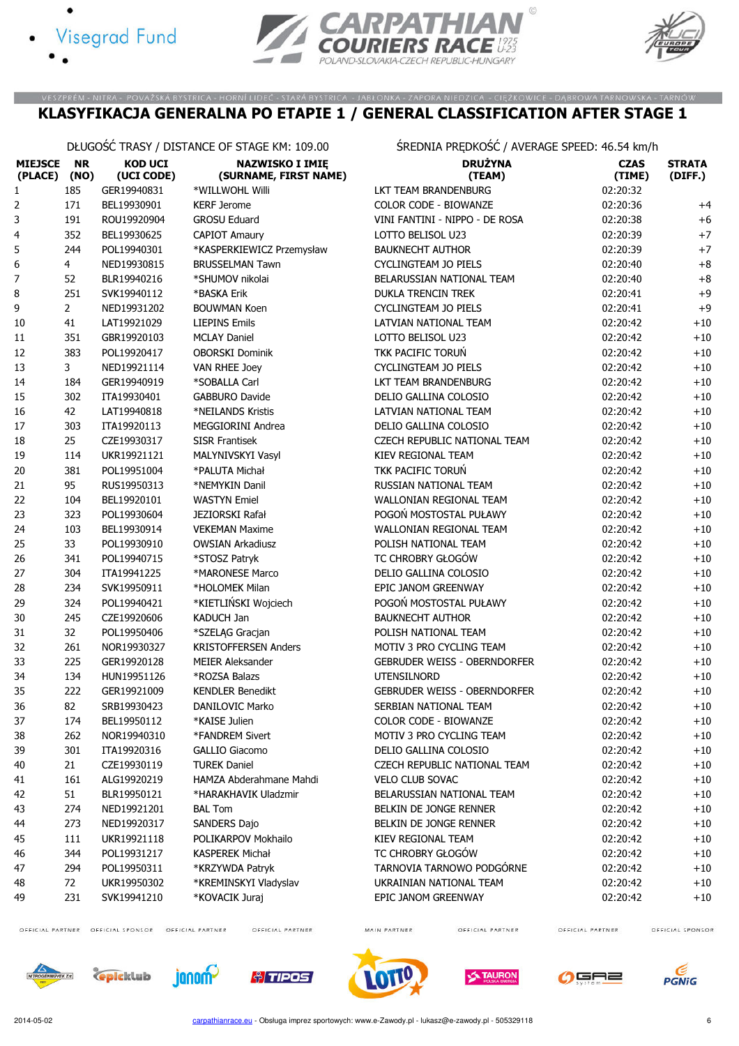





#### VESZPRÉM - NITRA - POVAŽSKÁ BYSTRICA - HORNÍ LIDEČ - STARÁ BYSTRICA - JABŁONKA - ZAPORA NIEDZICA - CIĘŻKOWICE - DĄBROWA TARNOWSKA - TARNÓW KLASYFIKACJA GENERALNA PO ETAPIE 1 / GENERAL CLASSIFICATION AFTER STAGE 1

| DŁUGOSC TRASY / DISTANCE OF STAGE KM: 109.00 |
|----------------------------------------------|
|                                              |
|                                              |
|                                              |

DŁUGOŚĆ TRASY / DISTANCE OF STAGE KM: 109.00 ŚREDNIA PRĘDKOŚĆ / AVERAGE SPEED: 46.54 km/h

| <b>MIEJSCE</b><br>(PLACE) | <b>NR</b><br>(NO) | <b>KOD UCI</b><br>(UCI CODE) | <b>NAZWISKO I IMIE</b><br>(SURNAME, FIRST NAME) | <b>DRUŻYNA</b><br>(TEAM)            | <b>CZAS</b><br>(TIME) | <b>STRATA</b><br>(DIFF.) |
|---------------------------|-------------------|------------------------------|-------------------------------------------------|-------------------------------------|-----------------------|--------------------------|
| 1                         | 185               | GER19940831                  | *WILLWOHL Willi                                 | LKT TEAM BRANDENBURG                | 02:20:32              |                          |
| 2                         | 171               | BEL19930901                  | <b>KERF Jerome</b>                              | COLOR CODE - BIOWANZE               | 02:20:36              | $+4$                     |
| 3                         | 191               | ROU19920904                  | <b>GROSU Eduard</b>                             | VINI FANTINI - NIPPO - DE ROSA      | 02:20:38              | $+6$                     |
| 4                         | 352               | BEL19930625                  | <b>CAPIOT Amaury</b>                            | LOTTO BELISOL U23                   | 02:20:39              | $+7$                     |
| 5                         | 244               | POL19940301                  | *KASPERKIEWICZ Przemysław                       | <b>BAUKNECHT AUTHOR</b>             | 02:20:39              | $+7$                     |
| 6                         | 4                 | NED19930815                  | <b>BRUSSELMAN Tawn</b>                          | <b>CYCLINGTEAM JO PIELS</b>         | 02:20:40              | $+8$                     |
| 7                         | 52                | BLR19940216                  | *SHUMOV nikolai                                 | BELARUSSIAN NATIONAL TEAM           | 02:20:40              | $+8$                     |
| 8                         | 251               | SVK19940112                  | *BASKA Erik                                     | <b>DUKLA TRENCIN TREK</b>           | 02:20:41              | $+9$                     |
| 9                         | $\overline{2}$    | NED19931202                  | <b>BOUWMAN Koen</b>                             | <b>CYCLINGTEAM JO PIELS</b>         | 02:20:41              | $+9$                     |
| $10\,$                    | 41                | LAT19921029                  | <b>LIEPINS Emils</b>                            | LATVIAN NATIONAL TEAM               | 02:20:42              | $+10\,$                  |
| $11\,$                    | 351               | GBR19920103                  | <b>MCLAY Daniel</b>                             | LOTTO BELISOL U23                   | 02:20:42              | $+10\,$                  |
| 12                        | 383               | POL19920417                  | <b>OBORSKI Dominik</b>                          | TKK PACIFIC TORUŃ                   | 02:20:42              | $+10$                    |
| 13                        | 3                 | NED19921114                  | VAN RHEE Joey                                   | <b>CYCLINGTEAM JO PIELS</b>         | 02:20:42              | $+10$                    |
| 14                        | 184               | GER19940919                  | *SOBALLA Carl                                   | LKT TEAM BRANDENBURG                | 02:20:42              | $+10$                    |
| 15                        | 302               | ITA19930401                  | <b>GABBURO Davide</b>                           | DELIO GALLINA COLOSIO               | 02:20:42              | $+10$                    |
| 16                        | 42                | LAT19940818                  | *NEILANDS Kristis                               | LATVIAN NATIONAL TEAM               | 02:20:42              | $+10$                    |
| $17\,$                    | 303               | ITA19920113                  | <b>MEGGIORINI Andrea</b>                        | DELIO GALLINA COLOSIO               | 02:20:42              | $+10$                    |
| 18                        | 25                | CZE19930317                  | <b>SISR Frantisek</b>                           | CZECH REPUBLIC NATIONAL TEAM        | 02:20:42              | $+10$                    |
| 19                        | 114               | UKR19921121                  | MALYNIVSKYI Vasyl                               | KIEV REGIONAL TEAM                  | 02:20:42              | $+10$                    |
| 20                        | 381               | POL19951004                  | *PALUTA Michał                                  | TKK PACIFIC TORUŃ                   | 02:20:42              | $+10$                    |
| 21                        | 95                | RUS19950313                  | *NEMYKIN Danil                                  | RUSSIAN NATIONAL TEAM               | 02:20:42              | $+10$                    |
| 22                        | 104               | BEL19920101                  | <b>WASTYN Emiel</b>                             | WALLONIAN REGIONAL TEAM             | 02:20:42              | $+10$                    |
| 23                        | 323               | POL19930604                  | JEZIORSKI Rafał                                 | POGOŃ MOSTOSTAL PUŁAWY              | 02:20:42              | $+10$                    |
| 24                        | 103               | BEL19930914                  | <b>VEKEMAN Maxime</b>                           | WALLONIAN REGIONAL TEAM             | 02:20:42              | $+10$                    |
| 25                        | 33                | POL19930910                  | <b>OWSIAN Arkadiusz</b>                         | POLISH NATIONAL TEAM                | 02:20:42              | $+10$                    |
| 26                        | 341               | POL19940715                  | *STOSZ Patryk                                   | TC CHROBRY GŁOGÓW                   | 02:20:42              | $+10\,$                  |
| 27                        | 304               | ITA19941225                  | *MARONESE Marco                                 | DELIO GALLINA COLOSIO               | 02:20:42              | $+10$                    |
| 28                        | 234               | SVK19950911                  | *HOLOMEK Milan                                  | EPIC JANOM GREENWAY                 | 02:20:42              | $+10$                    |
| 29                        | 324               | POL19940421                  | *KIETLIŃSKI Wojciech                            | POGOŃ MOSTOSTAL PUŁAWY              | 02:20:42              | $+10$                    |
| 30                        | 245               | CZE19920606                  | KADUCH Jan                                      | <b>BAUKNECHT AUTHOR</b>             | 02:20:42              | $+10$                    |
| 31                        | 32                | POL19950406                  | *SZELĄG Gracjan                                 | POLISH NATIONAL TEAM                | 02:20:42              | $+10$                    |
| 32                        | 261               | NOR19930327                  | <b>KRISTOFFERSEN Anders</b>                     | MOTIV 3 PRO CYCLING TEAM            | 02:20:42              | $+10$                    |
| 33                        | 225               | GER19920128                  | <b>MEIER Aleksander</b>                         | <b>GEBRUDER WEISS - OBERNDORFER</b> | 02:20:42              | $+10$                    |
| 34                        | 134               | HUN19951126                  | *ROZSA Balazs                                   | <b>UTENSILNORD</b>                  | 02:20:42              | $+10$                    |
| 35                        | 222               | GER19921009                  | <b>KENDLER Benedikt</b>                         | <b>GEBRUDER WEISS - OBERNDORFER</b> | 02:20:42              | $+10$                    |
| 36                        | 82                | SRB19930423                  | DANILOVIC Marko                                 | SERBIAN NATIONAL TEAM               | 02:20:42              | $+10$                    |
| 37                        | 174               | BEL19950112                  | *KAISE Julien                                   | COLOR CODE - BIOWANZE               | 02:20:42              | $+10$                    |
| 38                        | 262               | NOR19940310                  | *FANDREM Sivert                                 | MOTIV 3 PRO CYCLING TEAM            | 02:20:42              | $+10$                    |
| 39                        | 301               | ITA19920316                  | <b>GALLIO Giacomo</b>                           | DELIO GALLINA COLOSIO               | 02:20:42              | $+10$                    |
| 40                        | 21                | CZE19930119                  | <b>TUREK Daniel</b>                             | CZECH REPUBLIC NATIONAL TEAM        | 02:20:42              | $+10$                    |
| 41                        | 161               | ALG19920219                  | HAMZA Abderahmane Mahdi                         | <b>VELO CLUB SOVAC</b>              | 02:20:42              | $+10$                    |
| 42                        | 51                | BLR19950121                  | *HARAKHAVIK Uladzmir                            | BELARUSSIAN NATIONAL TEAM           | 02:20:42              | $+10$                    |
| 43                        | 274               | NED19921201                  | <b>BAL Tom</b>                                  | BELKIN DE JONGE RENNER              | 02:20:42              | $+10$                    |
| 44                        | 273               | NED19920317                  | SANDERS Dajo                                    | BELKIN DE JONGE RENNER              | 02:20:42              | $+10$                    |
| 45                        | 111               | UKR19921118                  | POLIKARPOV Mokhailo                             | KIEV REGIONAL TEAM                  | 02:20:42              | $+10$                    |
| 46                        | 344               | POL19931217                  | KASPEREK Michał                                 | TC CHROBRY GŁOGÓW                   | 02:20:42              | $+10$                    |
| 47                        | 294               | POL19950311                  | *KRZYWDA Patryk                                 | TARNOVIA TARNOWO PODGÓRNE           | 02:20:42              | $+10$                    |
| 48                        | 72                | UKR19950302                  | *KREMINSKYI Vladyslav                           | UKRAINIAN NATIONAL TEAM             | 02:20:42              | $+10$                    |
| 49                        | 231               | SVK19941210                  | *KOVACIK Juraj                                  | EPIC JANOM GREENWAY                 | 02:20:42              | $+10$                    |
|                           |                   |                              |                                                 |                                     |                       |                          |

OFFICIAL PARTNER OFFICIAL SPONSOR OFFICIAL PARTNER

OFFICIAL PARTNER

MAIN PARTNER

OFFICIAL PARTNER

OFFICIAL PARTNER















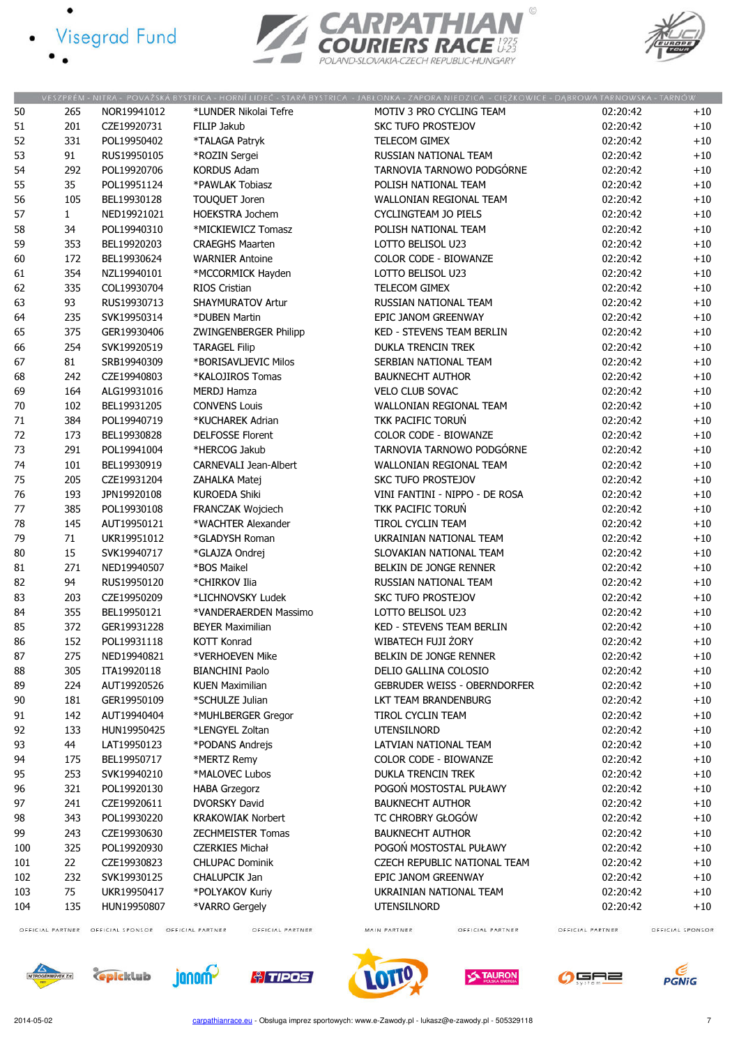- · Visegrad Fund
	-

 $\bullet$ 





|          |              |             |                          | VESZPRÉM - NITRA - POVAŽSKÁ BYSTRICA - HORNÍ LIDEČ - STARÁ BYSTRICA - JABŁONKA - ZAPORA NIEDZICA - CIĘŻKOWICE - DĄBROWA TARNOWSKA - TARNÓW |          |       |
|----------|--------------|-------------|--------------------------|--------------------------------------------------------------------------------------------------------------------------------------------|----------|-------|
| 50       | 265          | NOR19941012 | *LUNDER Nikolai Tefre    | MOTIV 3 PRO CYCLING TEAM                                                                                                                   | 02:20:42 | $+10$ |
| 51       | 201          | CZE19920731 | FILIP Jakub              | SKC TUFO PROSTEJOV                                                                                                                         | 02:20:42 | $+10$ |
| 52       | 331          | POL19950402 | *TALAGA Patryk           | TELECOM GIMEX                                                                                                                              | 02:20:42 | $+10$ |
| 53       | 91           | RUS19950105 | *ROZIN Sergei            | RUSSIAN NATIONAL TEAM                                                                                                                      | 02:20:42 | $+10$ |
| 54       | 292          | POL19920706 | <b>KORDUS Adam</b>       | TARNOVIA TARNOWO PODGÓRNE                                                                                                                  | 02:20:42 | $+10$ |
| 55       | 35           | POL19951124 | *PAWLAK Tobiasz          | POLISH NATIONAL TEAM                                                                                                                       | 02:20:42 | $+10$ |
| 56       | 105          | BEL19930128 | <b>TOUQUET Joren</b>     | <b>WALLONIAN REGIONAL TEAM</b>                                                                                                             | 02:20:42 | $+10$ |
|          | $\mathbf{1}$ | NED19921021 | <b>HOEKSTRA Jochem</b>   | CYCLINGTEAM JO PIELS                                                                                                                       | 02:20:42 |       |
| 57<br>58 | 34           | POL19940310 | *MICKIEWICZ Tomasz       | POLISH NATIONAL TEAM                                                                                                                       | 02:20:42 | $+10$ |
|          |              |             |                          |                                                                                                                                            |          | $+10$ |
| 59       | 353          | BEL19920203 | <b>CRAEGHS Maarten</b>   | LOTTO BELISOL U23                                                                                                                          | 02:20:42 | $+10$ |
| 60       | 172          | BEL19930624 | <b>WARNIER Antoine</b>   | <b>COLOR CODE - BIOWANZE</b>                                                                                                               | 02:20:42 | $+10$ |
| 61       | 354          | NZL19940101 | *MCCORMICK Hayden        | LOTTO BELISOL U23                                                                                                                          | 02:20:42 | $+10$ |
| 62       | 335          | COL19930704 | RIOS Cristian            | TELECOM GIMEX                                                                                                                              | 02:20:42 | $+10$ |
| 63       | 93           | RUS19930713 | <b>SHAYMURATOV Artur</b> | RUSSIAN NATIONAL TEAM                                                                                                                      | 02:20:42 | $+10$ |
| 64       | 235          | SVK19950314 | *DUBEN Martin            | EPIC JANOM GREENWAY                                                                                                                        | 02:20:42 | $+10$ |
| 65       | 375          | GER19930406 | ZWINGENBERGER Philipp    | KED - STEVENS TEAM BERLIN                                                                                                                  | 02:20:42 | $+10$ |
| 66       | 254          | SVK19920519 | <b>TARAGEL Filip</b>     | <b>DUKLA TRENCIN TREK</b>                                                                                                                  | 02:20:42 | $+10$ |
| 67       | 81           | SRB19940309 | *BORISAVLJEVIC Milos     | SERBIAN NATIONAL TEAM                                                                                                                      | 02:20:42 | $+10$ |
| 68       | 242          | CZE19940803 | *KALOJIROS Tomas         | <b>BAUKNECHT AUTHOR</b>                                                                                                                    | 02:20:42 | $+10$ |
| 69       | 164          | ALG19931016 | <b>MERDJ Hamza</b>       | <b>VELO CLUB SOVAC</b>                                                                                                                     | 02:20:42 | $+10$ |
| 70       | 102          | BEL19931205 | <b>CONVENS Louis</b>     | WALLONIAN REGIONAL TEAM                                                                                                                    | 02:20:42 | $+10$ |
| 71       | 384          | POL19940719 | *KUCHAREK Adrian         | <b>TKK PACIFIC TORUN</b>                                                                                                                   | 02:20:42 | $+10$ |
| 72       | 173          | BEL19930828 | <b>DELFOSSE Florent</b>  | <b>COLOR CODE - BIOWANZE</b>                                                                                                               | 02:20:42 | $+10$ |
| 73       | 291          | POL19941004 | *HERCOG Jakub            | TARNOVIA TARNOWO PODGÓRNE                                                                                                                  | 02:20:42 | $+10$ |
| 74       | 101          | BEL19930919 | CARNEVALI Jean-Albert    | WALLONIAN REGIONAL TEAM                                                                                                                    | 02:20:42 | $+10$ |
| 75       | 205          | CZE19931204 | ZAHALKA Matej            | <b>SKC TUFO PROSTEJOV</b>                                                                                                                  | 02:20:42 | $+10$ |
| 76       | 193          | JPN19920108 | <b>KUROEDA Shiki</b>     | VINI FANTINI - NIPPO - DE ROSA                                                                                                             | 02:20:42 | $+10$ |
| 77       | 385          | POL19930108 | <b>FRANCZAK Wojciech</b> | TKK PACIFIC TORUN                                                                                                                          | 02:20:42 | $+10$ |
| 78       | 145          | AUT19950121 | *WACHTER Alexander       | TIROL CYCLIN TEAM                                                                                                                          | 02:20:42 | $+10$ |
| 79       | 71           | UKR19951012 | *GLADYSH Roman           | UKRAINIAN NATIONAL TEAM                                                                                                                    | 02:20:42 | $+10$ |
| 80       | 15           | SVK19940717 | *GLAJZA Ondrej           | SLOVAKIAN NATIONAL TEAM                                                                                                                    | 02:20:42 | $+10$ |
| 81       | 271          | NED19940507 | *BOS Maikel              | BELKIN DE JONGE RENNER                                                                                                                     | 02:20:42 | $+10$ |
| 82       | 94           | RUS19950120 | *CHIRKOV Ilia            | RUSSIAN NATIONAL TEAM                                                                                                                      | 02:20:42 | $+10$ |
| 83       | 203          | CZE19950209 | *LICHNOVSKY Ludek        | <b>SKC TUFO PROSTEJOV</b>                                                                                                                  | 02:20:42 | $+10$ |
| 84       | 355          | BEL19950121 | *VANDERAERDEN Massimo    | LOTTO BELISOL U23                                                                                                                          | 02:20:42 | $+10$ |
| 85       | 372          | GER19931228 | <b>BEYER Maximilian</b>  | KED - STEVENS TEAM BERLIN                                                                                                                  | 02:20:42 | $+10$ |
| 86       | 152          | POL19931118 |                          | WIBATECH FUJI ŻORY                                                                                                                         |          |       |
|          |              |             | KOTT Konrad              |                                                                                                                                            | 02:20:42 | $+10$ |
| 87       | 275          | NED19940821 | *VERHOEVEN Mike          | BELKIN DE JONGE RENNER                                                                                                                     | 02:20:42 | $+10$ |
| 88       | 305          | ITA19920118 | <b>BIANCHINI Paolo</b>   | DELIO GALLINA COLOSIO                                                                                                                      | 02:20:42 | $+10$ |
| 89       | 224          | AUT19920526 | <b>KUEN Maximilian</b>   | <b>GEBRUDER WEISS - OBERNDORFER</b>                                                                                                        | 02:20:42 | $+10$ |
| 90       | 181          | GER19950109 | *SCHULZE Julian          | LKT TEAM BRANDENBURG                                                                                                                       | 02:20:42 | $+10$ |
| 91       | 142          | AUT19940404 | *MUHLBERGER Gregor       | TIROL CYCLIN TEAM                                                                                                                          | 02:20:42 | $+10$ |
| 92       | 133          | HUN19950425 | *LENGYEL Zoltan          | <b>UTENSILNORD</b>                                                                                                                         | 02:20:42 | $+10$ |
| 93       | 44           | LAT19950123 | *PODANS Andrejs          | LATVIAN NATIONAL TEAM                                                                                                                      | 02:20:42 | $+10$ |
| 94       | 175          | BEL19950717 | *MERTZ Remy              | <b>COLOR CODE - BIOWANZE</b>                                                                                                               | 02:20:42 | $+10$ |
| 95       | 253          | SVK19940210 | *MALOVEC Lubos           | <b>DUKLA TRENCIN TREK</b>                                                                                                                  | 02:20:42 | $+10$ |
| 96       | 321          | POL19920130 | <b>HABA Grzegorz</b>     | POGOŃ MOSTOSTAL PUŁAWY                                                                                                                     | 02:20:42 | $+10$ |
| 97       | 241          | CZE19920611 | <b>DVORSKY David</b>     | <b>BAUKNECHT AUTHOR</b>                                                                                                                    | 02:20:42 | $+10$ |
| 98       | 343          | POL19930220 | <b>KRAKOWIAK Norbert</b> | TC CHROBRY GŁOGÓW                                                                                                                          | 02:20:42 | $+10$ |
| 99       | 243          | CZE19930630 | <b>ZECHMEISTER Tomas</b> | <b>BAUKNECHT AUTHOR</b>                                                                                                                    | 02:20:42 | $+10$ |
| 100      | 325          | POL19920930 | <b>CZERKIES Michał</b>   | POGOŃ MOSTOSTAL PUŁAWY                                                                                                                     | 02:20:42 | $+10$ |
| 101      |              | CZE19930823 | <b>CHLUPAC Dominik</b>   | CZECH REPUBLIC NATIONAL TEAM                                                                                                               | 02:20:42 | $+10$ |
| 102      | 22           |             |                          |                                                                                                                                            |          |       |
|          | 232          | SVK19930125 | CHALUPCIK Jan            | EPIC JANOM GREENWAY                                                                                                                        | 02:20:42 | $+10$ |
| 103      | 75           | UKR19950417 | *POLYAKOV Kuriy          | UKRAINIAN NATIONAL TEAM                                                                                                                    | 02:20:42 | $+10$ |
| 104      | 135          | HUN19950807 | *VARRO Gergely           | <b>UTENSILNORD</b>                                                                                                                         | 02:20:42 | $+10$ |

OFFICIAL PARTNER

MAIN PARTNER















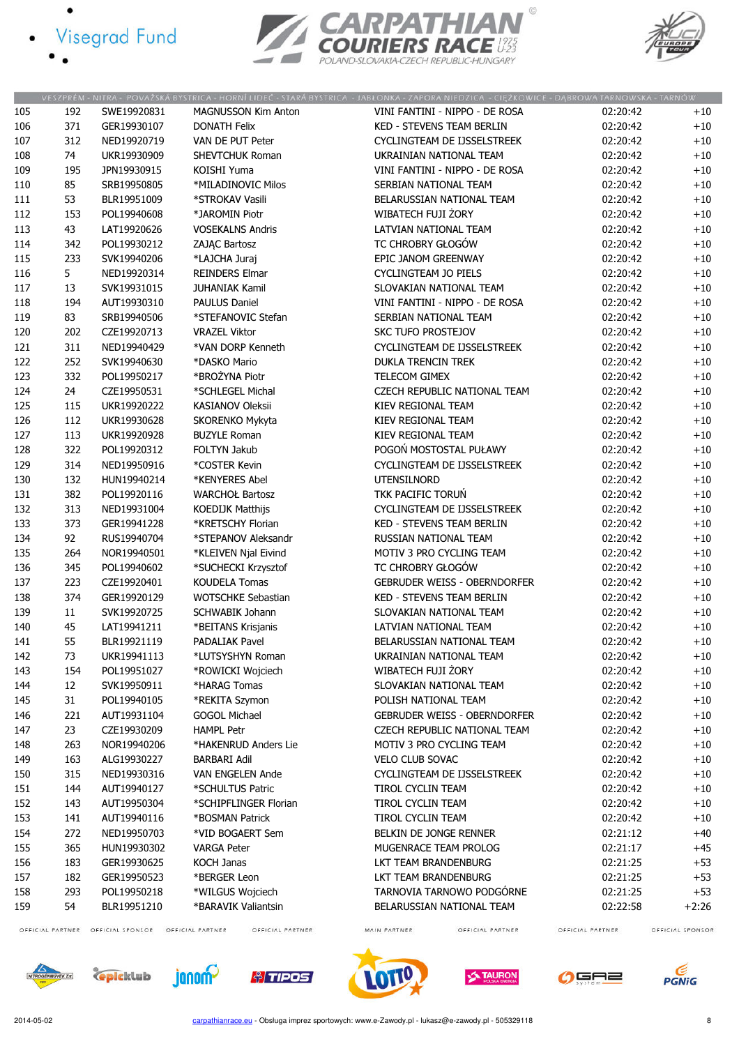- · Visegrad Fund
	-





|     |                  |                  |                                      | VESZPRÉM - NITRA - POVAŽSKÁ BYSTRICA - HORNÍ LIDEČ - STARÁ BYSTRICA - JABŁONKA - ZAPORA NIEDZICA - CIĘŻKOWICE - DĄBROWA TARNOWSKA - TARNÓW |                  |                  |
|-----|------------------|------------------|--------------------------------------|--------------------------------------------------------------------------------------------------------------------------------------------|------------------|------------------|
| 105 | 192              | SWE19920831      | <b>MAGNUSSON Kim Anton</b>           | VINI FANTINI - NIPPO - DE ROSA                                                                                                             | 02:20:42         | $+10$            |
| 106 | 371              | GER19930107      | <b>DONATH Felix</b>                  | <b>KED - STEVENS TEAM BERLIN</b>                                                                                                           | 02:20:42         | $+10$            |
| 107 | 312              | NED19920719      | VAN DE PUT Peter                     | CYCLINGTEAM DE IJSSELSTREEK                                                                                                                | 02:20:42         | $+10$            |
| 108 | 74               | UKR19930909      | <b>SHEVTCHUK Roman</b>               | UKRAINIAN NATIONAL TEAM                                                                                                                    | 02:20:42         | $+10$            |
| 109 | 195              | JPN19930915      | KOISHI Yuma                          | VINI FANTINI - NIPPO - DE ROSA                                                                                                             | 02:20:42         | $+10$            |
| 110 | 85               | SRB19950805      | *MILADINOVIC Milos                   | SERBIAN NATIONAL TEAM                                                                                                                      | 02:20:42         | $+10$            |
| 111 | 53               | BLR19951009      | *STROKAV Vasili                      | BELARUSSIAN NATIONAL TEAM                                                                                                                  | 02:20:42         | $+10$            |
| 112 | 153              | POL19940608      | *JAROMIN Piotr                       | WIBATECH FUJI ŻORY                                                                                                                         | 02:20:42         | $+10$            |
| 113 | 43               | LAT19920626      | <b>VOSEKALNS Andris</b>              | LATVIAN NATIONAL TEAM                                                                                                                      | 02:20:42         | $+10$            |
| 114 | 342              | POL19930212      | ZAJĄC Bartosz                        | TC CHROBRY GŁOGÓW                                                                                                                          | 02:20:42         | $+10$            |
| 115 | 233              | SVK19940206      | *LAJCHA Juraj                        | EPIC JANOM GREENWAY                                                                                                                        | 02:20:42         | $+10$            |
| 116 | 5                | NED19920314      | <b>REINDERS Elmar</b>                | <b>CYCLINGTEAM JO PIELS</b>                                                                                                                | 02:20:42         | $+10$            |
|     | 13               | SVK19931015      | <b>JUHANIAK Kamil</b>                | SLOVAKIAN NATIONAL TEAM                                                                                                                    | 02:20:42         | $+10$            |
| 117 |                  |                  |                                      |                                                                                                                                            |                  |                  |
| 118 | 194              | AUT19930310      | PAULUS Daniel                        | VINI FANTINI - NIPPO - DE ROSA                                                                                                             | 02:20:42         | $+10$            |
| 119 | 83               | SRB19940506      | *STEFANOVIC Stefan                   | SERBIAN NATIONAL TEAM                                                                                                                      | 02:20:42         | $+10$            |
| 120 | 202              | CZE19920713      | <b>VRAZEL Viktor</b>                 | <b>SKC TUFO PROSTEJOV</b>                                                                                                                  | 02:20:42         | $+10$            |
| 121 | 311              | NED19940429      | *VAN DORP Kenneth                    | CYCLINGTEAM DE IJSSELSTREEK                                                                                                                | 02:20:42         | $+10$            |
| 122 | 252              | SVK19940630      | *DASKO Mario                         | <b>DUKLA TRENCIN TREK</b>                                                                                                                  | 02:20:42         | $+10$            |
| 123 | 332              | POL19950217      | *BROŻYNA Piotr                       | TELECOM GIMEX                                                                                                                              | 02:20:42         | $+10$            |
| 124 | 24               | CZE19950531      | *SCHLEGEL Michal                     | CZECH REPUBLIC NATIONAL TEAM                                                                                                               | 02:20:42         | $+10$            |
| 125 | 115              | UKR19920222      | <b>KASIANOV Oleksii</b>              | KIEV REGIONAL TEAM                                                                                                                         | 02:20:42         | $+10$            |
| 126 | 112              | UKR19930628      | SKORENKO Mykyta                      | KIEV REGIONAL TEAM                                                                                                                         | 02:20:42         | $+10$            |
| 127 | 113              | UKR19920928      | <b>BUZYLE Roman</b>                  | KIEV REGIONAL TEAM                                                                                                                         | 02:20:42         | $+10$            |
| 128 | 322              | POL19920312      | FOLTYN Jakub                         | POGOŃ MOSTOSTAL PUŁAWY                                                                                                                     | 02:20:42         | $+10$            |
| 129 | 314              | NED19950916      | *COSTER Kevin                        | CYCLINGTEAM DE IJSSELSTREEK                                                                                                                | 02:20:42         | $+10$            |
| 130 | 132              | HUN19940214      | *KENYERES Abel                       | <b>UTENSILNORD</b>                                                                                                                         | 02:20:42         | $+10$            |
| 131 | 382              | POL19920116      | <b>WARCHOŁ Bartosz</b>               | TKK PACIFIC TORUN                                                                                                                          | 02:20:42         | $+10$            |
| 132 | 313              | NED19931004      | KOEDIJK Matthijs                     | CYCLINGTEAM DE IJSSELSTREEK                                                                                                                | 02:20:42         | $+10$            |
| 133 | 373              | GER19941228      | *KRETSCHY Florian                    | <b>KED - STEVENS TEAM BERLIN</b>                                                                                                           | 02:20:42         | $+10$            |
| 134 | 92               | RUS19940704      | *STEPANOV Aleksandr                  | RUSSIAN NATIONAL TEAM                                                                                                                      | 02:20:42         | $+10$            |
| 135 | 264              | NOR19940501      | *KLEIVEN Njal Eivind                 | MOTIV 3 PRO CYCLING TEAM                                                                                                                   | 02:20:42         | $+10$            |
| 136 | 345              | POL19940602      | *SUCHECKI Krzysztof                  | TC CHROBRY GŁOGÓW                                                                                                                          | 02:20:42         | $+10$            |
| 137 | 223              | CZE19920401      | <b>KOUDELA Tomas</b>                 | <b>GEBRUDER WEISS - OBERNDORFER</b>                                                                                                        | 02:20:42         | $+10$            |
|     | 374              |                  | <b>WOTSCHKE Sebastian</b>            |                                                                                                                                            |                  |                  |
| 138 |                  | GER19920129      |                                      | <b>KED - STEVENS TEAM BERLIN</b>                                                                                                           | 02:20:42         | $+10$            |
| 139 | 11               | SVK19920725      | <b>SCHWABIK Johann</b>               | SLOVAKIAN NATIONAL TEAM                                                                                                                    | 02:20:42         | $+10$            |
| 140 | 45               | LAT19941211      | *BEITANS Krisjanis                   | LATVIAN NATIONAL TEAM                                                                                                                      | 02:20:42         | $+10$            |
| 141 | 55               | BLR19921119      | <b>PADALIAK Pavel</b>                | BELARUSSIAN NATIONAL TEAM                                                                                                                  | 02:20:42         | $+10$            |
| 142 | 73               | UKR19941113      | *LUTSYSHYN Roman                     | UKRAINIAN NATIONAL TEAM                                                                                                                    | 02:20:42         | $+10$            |
| 143 | 154              | POL19951027      | *ROWICKI Wojciech                    | WIBATECH FUJI ŻORY                                                                                                                         | 02:20:42         | $+10$            |
| 144 | 12               | SVK19950911      | *HARAG Tomas                         | SLOVAKIAN NATIONAL TEAM                                                                                                                    | 02:20:42         | $+10$            |
| 145 | 31               | POL19940105      | *REKITA Szymon                       | POLISH NATIONAL TEAM                                                                                                                       | 02:20:42         | $+10$            |
| 146 | 221              | AUT19931104      | <b>GOGOL Michael</b>                 | <b>GEBRUDER WEISS - OBERNDORFER</b>                                                                                                        | 02:20:42         | $+10$            |
| 147 | 23               | CZE19930209      | <b>HAMPL Petr</b>                    | CZECH REPUBLIC NATIONAL TEAM                                                                                                               | 02:20:42         | $+10$            |
| 148 | 263              | NOR19940206      | *HAKENRUD Anders Lie                 | MOTIV 3 PRO CYCLING TEAM                                                                                                                   | 02:20:42         | $+10$            |
| 149 | 163              | ALG19930227      | <b>BARBARI Adil</b>                  | <b>VELO CLUB SOVAC</b>                                                                                                                     | 02:20:42         | $+10$            |
| 150 | 315              | NED19930316      | VAN ENGELEN Ande                     | CYCLINGTEAM DE IJSSELSTREEK                                                                                                                | 02:20:42         | $+10$            |
| 151 | 144              | AUT19940127      | *SCHULTUS Patric                     | TIROL CYCLIN TEAM                                                                                                                          | 02:20:42         | $+10$            |
| 152 | 143              | AUT19950304      | *SCHIPFLINGER Florian                | TIROL CYCLIN TEAM                                                                                                                          | 02:20:42         | $+10$            |
| 153 | 141              | AUT19940116      | *BOSMAN Patrick                      | TIROL CYCLIN TEAM                                                                                                                          | 02:20:42         | $+10$            |
| 154 | 272              | NED19950703      | *VID BOGAERT Sem                     | BELKIN DE JONGE RENNER                                                                                                                     | 02:21:12         | $+40$            |
| 155 | 365              | HUN19930302      | <b>VARGA Peter</b>                   | MUGENRACE TEAM PROLOG                                                                                                                      | 02:21:17         | +45              |
| 156 | 183              | GER19930625      | KOCH Janas                           | LKT TEAM BRANDENBURG                                                                                                                       | 02:21:25         | $+53$            |
| 157 | 182              | GER19950523      | *BERGER Leon                         | LKT TEAM BRANDENBURG                                                                                                                       | 02:21:25         | $+53$            |
| 158 | 293              | POL19950218      | *WILGUS Wojciech                     | TARNOVIA TARNOWO PODGÓRNE                                                                                                                  | 02:21:25         | $+53$            |
| 159 |                  |                  |                                      |                                                                                                                                            |                  |                  |
|     | 54               | BLR19951210      | *BARAVIK Valiantsin                  | BELARUSSIAN NATIONAL TEAM                                                                                                                  | 02:22:58         | $+2:26$          |
|     | OFFICIAL PARTNER | OFFICIAL SPONSOR | OFFICIAL PARTNER<br>OFFICIAL PARTNER | MAIN PARTNER<br>OFFICIAL PARTNER                                                                                                           | OFFICIAL PARTNER | OFFICIAL SPONSOR |

*<u>olimines</u>* 

 $\mathbf{U}$ 

**TAURON** 

GAZ

**PGNiG** 







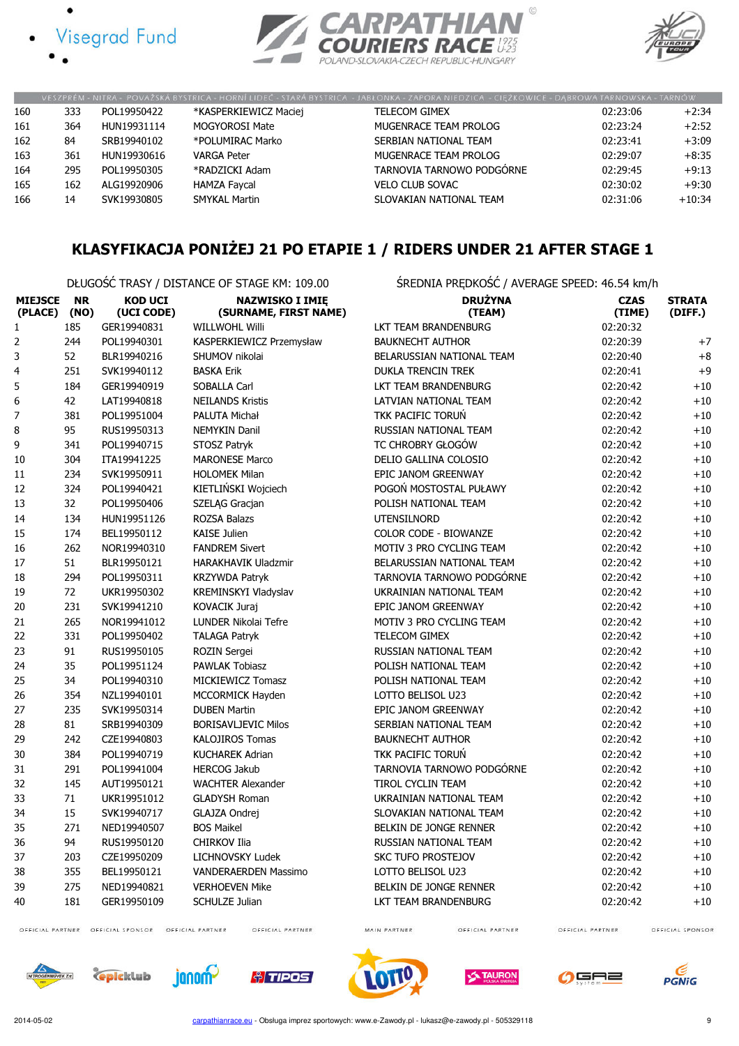





|     |     |             |                       | VESZPRÉM - NITRA - POVAŽSKÁ BYSTRICA - HORNÍ LIDEČ - STARÁ BYSTRICA - JABŁONKA - ZAPORA NIEDZICA - CIĘŻKOWICE - DABROWA TARNOWSKA - TARNÓW |          |          |
|-----|-----|-------------|-----------------------|--------------------------------------------------------------------------------------------------------------------------------------------|----------|----------|
| 160 | 333 | POL19950422 | *KASPERKIEWICZ Maciej | <b>TELECOM GIMEX</b>                                                                                                                       | 02:23:06 | $+2:34$  |
| 161 | 364 | HUN19931114 | MOGYOROSI Mate        | MUGENRACE TEAM PROLOG                                                                                                                      | 02:23:24 | $+2:52$  |
| 162 | 84  | SRB19940102 | *POLUMIRAC Marko      | SERBIAN NATIONAL TEAM                                                                                                                      | 02:23:41 | $+3:09$  |
| 163 | 361 | HUN19930616 | <b>VARGA Peter</b>    | MUGENRACE TEAM PROLOG                                                                                                                      | 02:29:07 | $+8:35$  |
| 164 | 295 | POL19950305 | *RADZICKI Adam        | TARNOVIA TARNOWO PODGÓRNE                                                                                                                  | 02:29:45 | $+9:13$  |
| 165 | 162 | ALG19920906 | <b>HAMZA Faycal</b>   | <b>VELO CLUB SOVAC</b>                                                                                                                     | 02:30:02 | $+9:30$  |
| 166 | 14  | SVK19930805 | <b>SMYKAL Martin</b>  | SLOVAKIAN NATIONAL TEAM                                                                                                                    | 02:31:06 | $+10:34$ |

# KLASYFIKACJA PONIŻEJ 21 PO ETAPIE 1 / RIDERS UNDER 21 AFTER STAGE 1

DŁUGOŚĆ TRASY / DISTANCE OF STAGE KM: 109.00 ŚREDNIA PRĘDKOŚĆ / AVERAGE SPEED: 46.54 km/h

| <b>MIEJSCE</b><br>(PLACE) | <b>NR</b><br>(NO) | <b>KOD UCI</b><br>(UCI CODE) | <b>NAZWISKO I IMIĘ</b><br>(SURNAME, FIRST NAME) | <b>DRUŻYNA</b><br>(TEAM)    | <b>CZAS</b><br>(TIME) | <b>STRATA</b><br>(DIFF.) |
|---------------------------|-------------------|------------------------------|-------------------------------------------------|-----------------------------|-----------------------|--------------------------|
| $\mathbf 1$               | 185               | GER19940831                  | <b>WILLWOHL Willi</b>                           | LKT TEAM BRANDENBURG        | 02:20:32              |                          |
| $\overline{2}$            | 244               | POL19940301                  | KASPERKIEWICZ Przemysław                        | <b>BAUKNECHT AUTHOR</b>     | 02:20:39              | $+7$                     |
| 3                         | 52                | BLR19940216                  | SHUMOV nikolai                                  | BELARUSSIAN NATIONAL TEAM   | 02:20:40              | $+8$                     |
| 4                         | 251               | SVK19940112                  | <b>BASKA Erik</b>                               | <b>DUKLA TRENCIN TREK</b>   | 02:20:41              | $+9$                     |
| 5                         | 184               | GER19940919                  | SOBALLA Carl                                    | LKT TEAM BRANDENBURG        | 02:20:42              | $+10$                    |
| 6                         | 42                | LAT19940818                  | <b>NEILANDS Kristis</b>                         | LATVIAN NATIONAL TEAM       | 02:20:42              | $+10$                    |
| $\boldsymbol{7}$          | 381               | POL19951004                  | PALUTA Michał                                   | TKK PACIFIC TORUŃ           | 02:20:42              | $+10$                    |
| 8                         | 95                | RUS19950313                  | <b>NEMYKIN Danil</b>                            | RUSSIAN NATIONAL TEAM       | 02:20:42              | $+10$                    |
| 9                         | 341               | POL19940715                  | STOSZ Patryk                                    | TC CHROBRY GŁOGÓW           | 02:20:42              | $+10$                    |
| 10                        | 304               | ITA19941225                  | <b>MARONESE Marco</b>                           | DELIO GALLINA COLOSIO       | 02:20:42              | $+10$                    |
| 11                        | 234               | SVK19950911                  | <b>HOLOMEK Milan</b>                            | EPIC JANOM GREENWAY         | 02:20:42              | $+10$                    |
| 12                        | 324               | POL19940421                  | KIETLIŃSKI Wojciech                             | POGOŃ MOSTOSTAL PUŁAWY      | 02:20:42              | $+10$                    |
| 13                        | 32                | POL19950406                  | SZELĄG Gracjan                                  | POLISH NATIONAL TEAM        | 02:20:42              | $+10$                    |
| 14                        | 134               | HUN19951126                  | <b>ROZSA Balazs</b>                             | <b>UTENSILNORD</b>          | 02:20:42              | $+10$                    |
| 15                        | 174               | BEL19950112                  | <b>KAISE Julien</b>                             | COLOR CODE - BIOWANZE       | 02:20:42              | $+10$                    |
| 16                        | 262               | NOR19940310                  | <b>FANDREM Sivert</b>                           | MOTIV 3 PRO CYCLING TEAM    | 02:20:42              | $+10$                    |
| 17                        | 51                | BLR19950121                  | <b>HARAKHAVIK Uladzmir</b>                      | BELARUSSIAN NATIONAL TEAM   | 02:20:42              | $+10$                    |
| 18                        | 294               | POL19950311                  | <b>KRZYWDA Patryk</b>                           | TARNOVIA TARNOWO PODGÓRNE   | 02:20:42              | $+10$                    |
| 19                        | 72                | UKR19950302                  | KREMINSKYI Vladyslav                            | UKRAINIAN NATIONAL TEAM     | 02:20:42              | $+10$                    |
| 20                        | 231               | SVK19941210                  | <b>KOVACIK Juraj</b>                            | EPIC JANOM GREENWAY         | 02:20:42              | $+10$                    |
| 21                        | 265               | NOR19941012                  | LUNDER Nikolai Tefre                            | MOTIV 3 PRO CYCLING TEAM    | 02:20:42              | $+10$                    |
| 22                        | 331               | POL19950402                  | <b>TALAGA Patryk</b>                            | TELECOM GIMEX               | 02:20:42              | $+10$                    |
| 23                        | 91                | RUS19950105                  | <b>ROZIN Sergei</b>                             | RUSSIAN NATIONAL TEAM       | 02:20:42              | $+10$                    |
| 24                        | 35                | POL19951124                  | <b>PAWLAK Tobiasz</b>                           | POLISH NATIONAL TEAM        | 02:20:42              | $+10$                    |
| 25                        | 34                | POL19940310                  | MICKIEWICZ Tomasz                               | POLISH NATIONAL TEAM        | 02:20:42              | $+10$                    |
| 26                        | 354               | NZL19940101                  | MCCORMICK Hayden                                | LOTTO BELISOL U23           | 02:20:42              | $+10$                    |
| 27                        | 235               | SVK19950314                  | <b>DUBEN Martin</b>                             | EPIC JANOM GREENWAY         | 02:20:42              | $+10$                    |
| 28                        | 81                | SRB19940309                  | <b>BORISAVLJEVIC Milos</b>                      | SERBIAN NATIONAL TEAM       | 02:20:42              | $+10$                    |
| 29                        | 242               | CZE19940803                  | <b>KALOJIROS Tomas</b>                          | <b>BAUKNECHT AUTHOR</b>     | 02:20:42              | $+10$                    |
| 30                        | 384               | POL19940719                  | <b>KUCHAREK Adrian</b>                          | TKK PACIFIC TORUŃ           | 02:20:42              | $+10$                    |
| 31                        | 291               | POL19941004                  | <b>HERCOG Jakub</b>                             | TARNOVIA TARNOWO PODGÓRNE   | 02:20:42              | $+10$                    |
| 32                        | 145               | AUT19950121                  | <b>WACHTER Alexander</b>                        | TIROL CYCLIN TEAM           | 02:20:42              | $+10$                    |
| 33                        | 71                | UKR19951012                  | <b>GLADYSH Roman</b>                            | UKRAINIAN NATIONAL TEAM     | 02:20:42              | $+10$                    |
| 34                        | 15                | SVK19940717                  | GLAJZA Ondrej                                   | SLOVAKIAN NATIONAL TEAM     | 02:20:42              | $+10$                    |
| 35                        | 271               | NED19940507                  | <b>BOS Maikel</b>                               | BELKIN DE JONGE RENNER      | 02:20:42              | $+10$                    |
| 36                        | 94                | RUS19950120                  | <b>CHIRKOV Ilia</b>                             | RUSSIAN NATIONAL TEAM       | 02:20:42              | $+10$                    |
| 37                        | 203               | CZE19950209                  | LICHNOVSKY Ludek                                | <b>SKC TUFO PROSTEJOV</b>   | 02:20:42              | $+10$                    |
| 38                        | 355               | BEL19950121                  | <b>VANDERAERDEN Massimo</b>                     | LOTTO BELISOL U23           | 02:20:42              | $+10$                    |
| 39                        | 275               | NED19940821                  | <b>VERHOEVEN Mike</b>                           | BELKIN DE JONGE RENNER      | 02:20:42              | $+10$                    |
| 40                        | 181               | GER19950109                  | <b>SCHULZE Julian</b>                           | <b>LKT TEAM BRANDENBURG</b> | 02:20:42              | $+10$                    |

OFFICIAL PARTNER OFFICIAL SPONSOR OFFICIAL PARTNER

OFFICIAL PARTNER

MAIN PARTNER

OFFICIAL PARTNER

OFFICIAL SPONSOR













OFFICIAL PARTNER



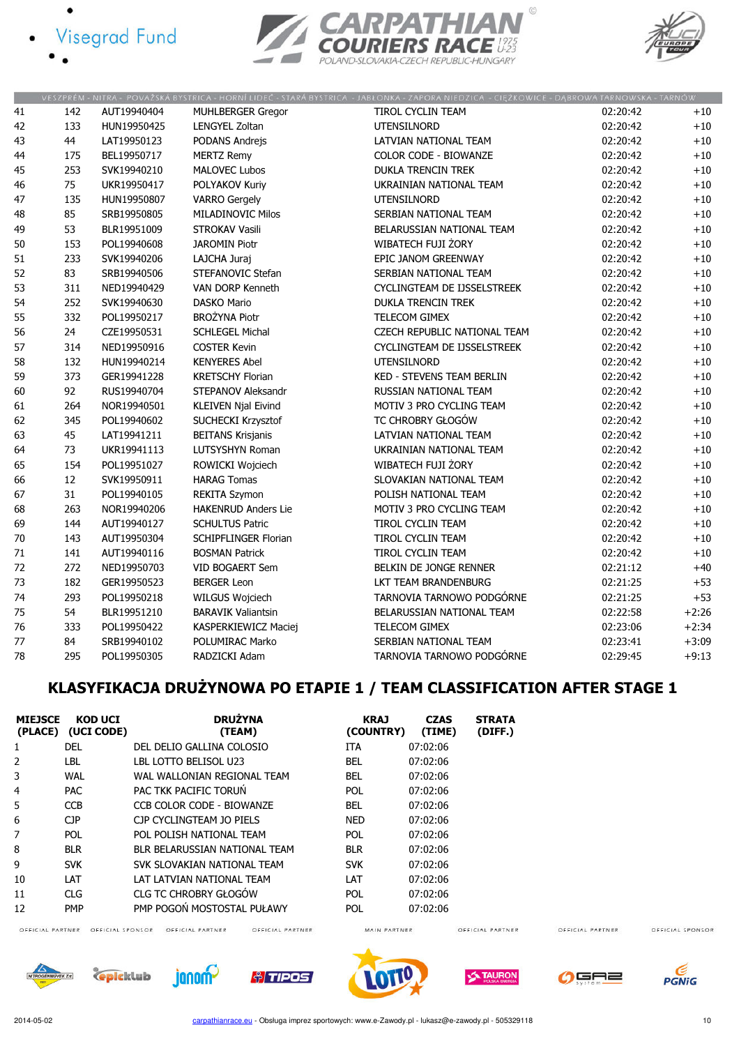- **Visegrad Fund** 
	-





|    |     |             |                             | VESZPREM - NITRA - POVAZSKA BYSTRICA - HORNI LIDEC - STARA BYSTRICA - JABEONKA - ZAPORA NIEDZICA - CIĘZKOWICE - DĄBROWA TARNOWSKA - TARNOW. |          |         |
|----|-----|-------------|-----------------------------|---------------------------------------------------------------------------------------------------------------------------------------------|----------|---------|
| 41 | 142 | AUT19940404 | <b>MUHLBERGER Gregor</b>    | TIROL CYCLIN TEAM                                                                                                                           | 02:20:42 | $+10$   |
| 42 | 133 | HUN19950425 | <b>LENGYEL Zoltan</b>       | UTENSILNORD                                                                                                                                 | 02:20:42 | $+10\,$ |
| 43 | 44  | LAT19950123 | PODANS Andrejs              | LATVIAN NATIONAL TEAM                                                                                                                       | 02:20:42 | $+10$   |
| 44 | 175 | BEL19950717 | <b>MERTZ Remy</b>           | COLOR CODE - BIOWANZE                                                                                                                       | 02:20:42 | $+10$   |
| 45 | 253 | SVK19940210 | <b>MALOVEC Lubos</b>        | <b>DUKLA TRENCIN TREK</b>                                                                                                                   | 02:20:42 | $+10$   |
| 46 | 75  | UKR19950417 | POLYAKOV Kuriy              | UKRAINIAN NATIONAL TEAM                                                                                                                     | 02:20:42 | $+10\,$ |
| 47 | 135 | HUN19950807 | <b>VARRO Gergely</b>        | UTENSILNORD                                                                                                                                 | 02:20:42 | $+10$   |
| 48 | 85  | SRB19950805 | <b>MILADINOVIC Milos</b>    | SERBIAN NATIONAL TEAM                                                                                                                       | 02:20:42 | $+10$   |
| 49 | 53  | BLR19951009 | <b>STROKAV Vasili</b>       | BELARUSSIAN NATIONAL TEAM                                                                                                                   | 02:20:42 | $+10$   |
| 50 | 153 | POL19940608 | <b>JAROMIN Piotr</b>        | WIBATECH FUJI ŻORY                                                                                                                          | 02:20:42 | $+10$   |
| 51 | 233 | SVK19940206 | LAJCHA Juraj                | EPIC JANOM GREENWAY                                                                                                                         | 02:20:42 | $+10$   |
| 52 | 83  | SRB19940506 | STEFANOVIC Stefan           | SERBIAN NATIONAL TEAM                                                                                                                       | 02:20:42 | $+10\,$ |
| 53 | 311 | NED19940429 | VAN DORP Kenneth            | CYCLINGTEAM DE IJSSELSTREEK                                                                                                                 | 02:20:42 | $+10$   |
| 54 | 252 | SVK19940630 | <b>DASKO Mario</b>          | <b>DUKLA TRENCIN TREK</b>                                                                                                                   | 02:20:42 | $+10$   |
| 55 | 332 | POL19950217 | <b>BROŻYNA Piotr</b>        | TELECOM GIMEX                                                                                                                               | 02:20:42 | $+10$   |
| 56 | 24  | CZE19950531 | <b>SCHLEGEL Michal</b>      | CZECH REPUBLIC NATIONAL TEAM                                                                                                                | 02:20:42 | $+10$   |
| 57 | 314 | NED19950916 | <b>COSTER Kevin</b>         | CYCLINGTEAM DE IJSSELSTREEK                                                                                                                 | 02:20:42 | $+10$   |
| 58 | 132 | HUN19940214 | <b>KENYERES Abel</b>        | UTENSILNORD                                                                                                                                 | 02:20:42 | $+10$   |
| 59 | 373 | GER19941228 | <b>KRETSCHY Florian</b>     | <b>KED - STEVENS TEAM BERLIN</b>                                                                                                            | 02:20:42 | $+10$   |
| 60 | 92  | RUS19940704 | STEPANOV Aleksandr          | RUSSIAN NATIONAL TEAM                                                                                                                       | 02:20:42 | $+10\,$ |
| 61 | 264 | NOR19940501 | <b>KLEIVEN Njal Eivind</b>  | MOTIV 3 PRO CYCLING TEAM                                                                                                                    | 02:20:42 | $+10$   |
| 62 | 345 | POL19940602 | SUCHECKI Krzysztof          | TC CHROBRY GŁOGÓW                                                                                                                           | 02:20:42 | $+10$   |
| 63 | 45  | LAT19941211 | <b>BEITANS Krisjanis</b>    | LATVIAN NATIONAL TEAM                                                                                                                       | 02:20:42 | $+10$   |
| 64 | 73  | UKR19941113 | LUTSYSHYN Roman             | UKRAINIAN NATIONAL TEAM                                                                                                                     | 02:20:42 | $+10$   |
| 65 | 154 | POL19951027 | ROWICKI Wojciech            | WIBATECH FUJI ŻORY                                                                                                                          | 02:20:42 | $+10$   |
| 66 | 12  | SVK19950911 | <b>HARAG Tomas</b>          | SLOVAKIAN NATIONAL TEAM                                                                                                                     | 02:20:42 | $+10$   |
| 67 | 31  | POL19940105 | <b>REKITA Szymon</b>        | POLISH NATIONAL TEAM                                                                                                                        | 02:20:42 | $+10$   |
| 68 | 263 | NOR19940206 | <b>HAKENRUD Anders Lie</b>  | MOTIV 3 PRO CYCLING TEAM                                                                                                                    | 02:20:42 | $+10$   |
| 69 | 144 | AUT19940127 | <b>SCHULTUS Patric</b>      | TIROL CYCLIN TEAM                                                                                                                           | 02:20:42 | $+10$   |
| 70 | 143 | AUT19950304 | <b>SCHIPFLINGER Florian</b> | <b>TIROL CYCLIN TEAM</b>                                                                                                                    | 02:20:42 | $+10$   |
| 71 | 141 | AUT19940116 | <b>BOSMAN Patrick</b>       | TIROL CYCLIN TEAM                                                                                                                           | 02:20:42 | $+10$   |
| 72 | 272 | NED19950703 | <b>VID BOGAERT Sem</b>      | BELKIN DE JONGE RENNER                                                                                                                      | 02:21:12 | $+40$   |
| 73 | 182 | GER19950523 | <b>BERGER Leon</b>          | LKT TEAM BRANDENBURG                                                                                                                        | 02:21:25 | $+53$   |
| 74 | 293 | POL19950218 | WILGUS Wojciech             | TARNOVIA TARNOWO PODGÓRNE                                                                                                                   | 02:21:25 | $+53$   |
| 75 | 54  | BLR19951210 | <b>BARAVIK Valiantsin</b>   | BELARUSSIAN NATIONAL TEAM                                                                                                                   | 02:22:58 | $+2:26$ |
| 76 | 333 | POL19950422 | KASPERKIEWICZ Maciej        | TELECOM GIMEX                                                                                                                               | 02:23:06 | $+2:34$ |
| 77 | 84  | SRB19940102 | POLUMIRAC Marko             | SERBIAN NATIONAL TEAM                                                                                                                       | 02:23:41 | $+3:09$ |
| 78 | 295 | POL19950305 | RADZICKI Adam               | TARNOVIA TARNOWO PODGÓRNE                                                                                                                   | 02:29:45 | $+9:13$ |

# KLASYFIKACJA DRUŻYNOWA PO ETAPIE 1 / TEAM CLASSIFICATION AFTER STAGE 1

| <b>MIEJSCE</b><br>(PLACE) | <b>KOD UCI</b><br>(UCI CODE) | <b>DRUŻYNA</b><br>(TEAM)      | <b>KRAJ</b><br>(COUNTRY) | <b>CZAS</b><br>(TIME) | <b>STRATA</b><br>(DIFF.) |
|---------------------------|------------------------------|-------------------------------|--------------------------|-----------------------|--------------------------|
| 1                         | DEL                          | DEL DELIO GALLINA COLOSIO     | ITA                      | 07:02:06              |                          |
| 2                         | LBL                          | LBL LOTTO BELISOL U23         | <b>BEL</b>               | 07:02:06              |                          |
| 3                         | <b>WAL</b>                   | WAL WALLONIAN REGIONAL TEAM   | <b>BEL</b>               | 07:02:06              |                          |
| 4                         | <b>PAC</b>                   | PAC TKK PACIFIC TORUN         | <b>POL</b>               | 07:02:06              |                          |
| 5                         | <b>CCB</b>                   | CCB COLOR CODE - BIOWANZE     | <b>BEL</b>               | 07:02:06              |                          |
| 6                         | <b>CJP</b>                   | CJP CYCLINGTEAM JO PIELS      | <b>NED</b>               | 07:02:06              |                          |
| 7                         | <b>POL</b>                   | POL POLISH NATIONAL TEAM      | <b>POL</b>               | 07:02:06              |                          |
| 8                         | <b>BLR</b>                   | BLR BELARUSSIAN NATIONAL TEAM | <b>BLR</b>               | 07:02:06              |                          |
| 9                         | <b>SVK</b>                   | SVK SLOVAKIAN NATIONAL TEAM   | <b>SVK</b>               | 07:02:06              |                          |
| 10                        | LAT                          | LAT LATVIAN NATIONAL TEAM     | LAT                      | 07:02:06              |                          |
| 11                        | <b>CLG</b>                   | CLG TC CHROBRY GŁOGÓW         | <b>POL</b>               | 07:02:06              |                          |
| 12                        | <b>PMP</b>                   | PMP POGOŃ MOSTOSTAL PUŁAWY    | <b>POL</b>               | 07:02:06              |                          |

OFFICIAL PARTNER OFFICIAL SPONSOR OFFICIAL PARTNER

OFFICIAL PARTNER

MAIN PARTNER

OFFICIAL PARTNER

OFFICIAL PARTNER













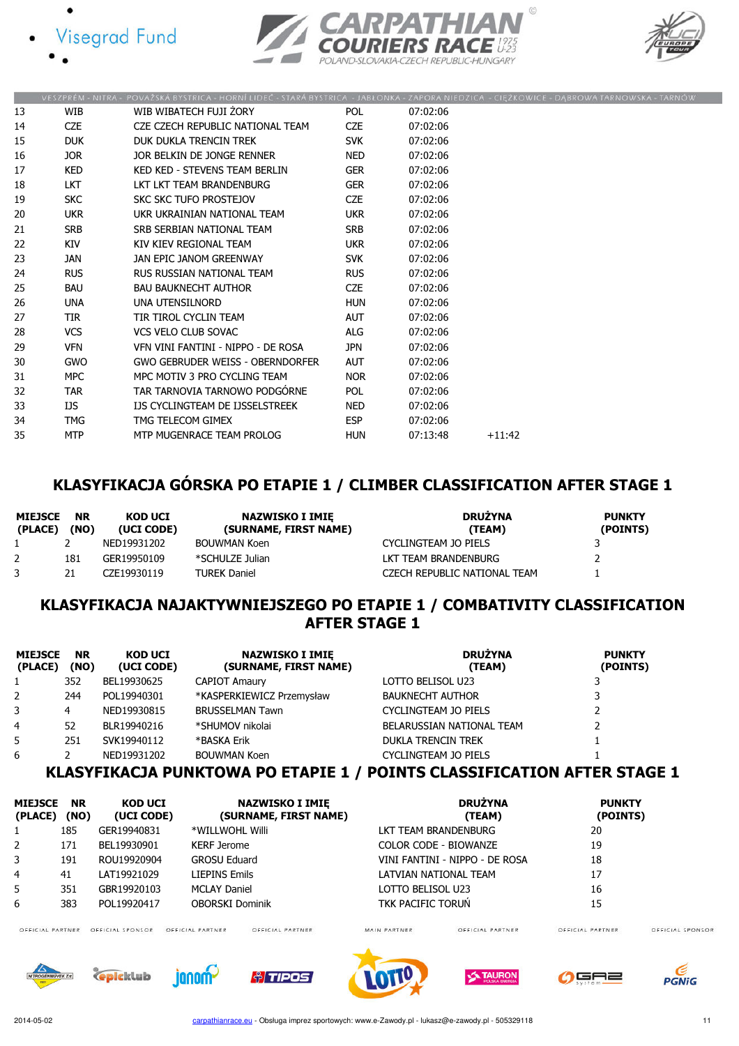





|    |            | VESZPRÉM - NITRA - POVAŽSKÁ BYSTRICA - HORNÍ LIDEČ - STARÁ BYSTRICA - JABŁONKA - ZAPORA NIEDZICA - CIĘŻKOWICE - DĄBROWA TARNOWSKA - TARNÓV |            |          |          |  |
|----|------------|--------------------------------------------------------------------------------------------------------------------------------------------|------------|----------|----------|--|
| 13 | WIB        | WIB WIBATECH FUJI ŻORY                                                                                                                     | <b>POL</b> | 07:02:06 |          |  |
| 14 | <b>CZE</b> | CZE CZECH REPUBLIC NATIONAL TEAM                                                                                                           | <b>CZE</b> | 07:02:06 |          |  |
| 15 | <b>DUK</b> | DUK DUKLA TRENCIN TREK                                                                                                                     | <b>SVK</b> | 07:02:06 |          |  |
| 16 | JOR .      | JOR BELKIN DE JONGE RENNER                                                                                                                 | NED        | 07:02:06 |          |  |
| 17 | <b>KED</b> | KED KED - STEVENS TEAM BERLIN                                                                                                              | <b>GER</b> | 07:02:06 |          |  |
| 18 | LKT.       | LKT LKT TEAM BRANDENBURG                                                                                                                   | <b>GER</b> | 07:02:06 |          |  |
| 19 | <b>SKC</b> | SKC SKC TUFO PROSTEJOV                                                                                                                     | <b>CZE</b> | 07:02:06 |          |  |
| 20 | <b>UKR</b> | UKR UKRAINIAN NATIONAL TEAM                                                                                                                | <b>UKR</b> | 07:02:06 |          |  |
| 21 | <b>SRB</b> | SRB SERBIAN NATIONAL TEAM                                                                                                                  | <b>SRB</b> | 07:02:06 |          |  |
| 22 | KIV        | KIV KIEV REGIONAL TEAM                                                                                                                     | <b>UKR</b> | 07:02:06 |          |  |
| 23 | JAN        | JAN EPIC JANOM GREENWAY                                                                                                                    | <b>SVK</b> | 07:02:06 |          |  |
| 24 | <b>RUS</b> | RUS RUSSIAN NATIONAL TEAM                                                                                                                  | <b>RUS</b> | 07:02:06 |          |  |
| 25 | <b>BAU</b> | <b>BAU BAUKNECHT AUTHOR</b>                                                                                                                | <b>CZE</b> | 07:02:06 |          |  |
| 26 | <b>UNA</b> | UNA UTENSILNORD                                                                                                                            | <b>HUN</b> | 07:02:06 |          |  |
| 27 | <b>TIR</b> | TIR TIROL CYCLIN TEAM                                                                                                                      | <b>AUT</b> | 07:02:06 |          |  |
| 28 | <b>VCS</b> | <b>VCS VELO CLUB SOVAC</b>                                                                                                                 | ALG        | 07:02:06 |          |  |
| 29 | <b>VFN</b> | VEN VINI FANTINI - NIPPO - DE ROSA                                                                                                         | <b>JPN</b> | 07:02:06 |          |  |
| 30 | <b>GWO</b> | GWO GEBRUDER WEISS - OBERNDORFER                                                                                                           | <b>AUT</b> | 07:02:06 |          |  |
| 31 | <b>MPC</b> | MPC MOTIV 3 PRO CYCLING TEAM                                                                                                               | <b>NOR</b> | 07:02:06 |          |  |
| 32 | <b>TAR</b> | TAR TARNOVIA TARNOWO PODGÓRNE                                                                                                              | POL        | 07:02:06 |          |  |
| 33 | IJS        | IJS CYCLINGTEAM DE IJSSELSTREEK                                                                                                            | NED        | 07:02:06 |          |  |
| 34 | <b>TMG</b> | TMG TELECOM GIMEX                                                                                                                          | <b>ESP</b> | 07:02:06 |          |  |
| 35 | <b>MTP</b> | MTP MUGENRACE TEAM PROLOG                                                                                                                  | <b>HUN</b> | 07:13:48 | $+11:42$ |  |
|    |            |                                                                                                                                            |            |          |          |  |

### KLASYFIKACJA GÓRSKA PO ETAPIE 1 / CLIMBER CLASSIFICATION AFTER STAGE 1

| <b>MIEJSCE</b><br>(PLACE) | <b>NR</b><br>(NO) | KOD UCI<br>(UCI CODE) | NAZWISKO I IMIE<br>(SURNAME, FIRST NAME) | <b>DRUŽYNA</b><br>(TEAM)     | <b>PUNKTY</b><br>(POINTS) |
|---------------------------|-------------------|-----------------------|------------------------------------------|------------------------------|---------------------------|
|                           |                   | NED19931202           | <b>BOUWMAN Koen</b>                      | CYCLINGTEAM JO PIELS         |                           |
|                           | 181               | GER19950109           | *SCHULZE Julian                          | LKT TEAM BRANDENBURG         |                           |
|                           | 21                | CZF19930119           | <b>TUREK Daniel</b>                      | CZECH REPUBLIC NATIONAL TEAM |                           |

### KLASYFIKACJA NAJAKTYWNIEJSZEGO PO ETAPIE 1 / COMBATIVITY CLASSIFICATION AFTER STAGE 1

| <b>MIEJSCE</b><br>(PLACE) | <b>NR</b><br>(NO) | <b>KOD UCI</b><br>(UCI CODE)                       | <b>NAZWISKO I IMIE</b><br>(SURNAME, FIRST NAME) | <b>DRUŻYNA</b><br>(TEAM)  | <b>PUNKTY</b><br>(POINTS) |
|---------------------------|-------------------|----------------------------------------------------|-------------------------------------------------|---------------------------|---------------------------|
| 1                         | 352               | BEL19930625                                        | <b>CAPIOT Amaury</b>                            | LOTTO BELISOL U23         |                           |
| $\overline{2}$            | 244               | POL19940301                                        | *KASPERKIEWICZ Przemysław                       | <b>BAUKNECHT AUTHOR</b>   |                           |
| 3                         | 4                 | NED19930815                                        | <b>BRUSSELMAN Tawn</b>                          | CYCLINGTEAM JO PIELS      |                           |
| 4                         | 52                | BLR19940216                                        | *SHUMOV nikolai                                 | BELARUSSIAN NATIONAL TEAM |                           |
| 5                         | 251               | SVK19940112                                        | *BASKA Erik                                     | <b>DUKLA TRENCIN TREK</b> |                           |
| 6                         |                   | NED19931202<br>,,, , ,,,,,,,, ,,, ,,,,,,,,,,,,,,,, | <b>BOUWMAN Koen</b>                             | CYCLINGTEAM JO PIELS      |                           |

### KLASYFIKACJA PUNKTOWA PO ETAPIE 1 / POINTS CLASSIFICATION AFTER STAGE 1

| <b>MIEJSCE</b><br>(PLACE) | <b>NR</b><br>(NO) | <b>KOD UCI</b><br>(UCI CODE) | <b>NAZWISKO I IMIE</b><br>(SURNAME, FIRST NAME) | <b>DRUŻYNA</b><br>(TEAM)           | <b>PUNKTY</b><br>(POINTS)    |
|---------------------------|-------------------|------------------------------|-------------------------------------------------|------------------------------------|------------------------------|
|                           | 185               | GER19940831                  | *WILLWOHL Willi                                 | LKT TEAM BRANDENBURG               | 20                           |
| 2                         | 171               | BEL19930901                  | <b>KERF Jerome</b>                              | COLOR CODE - BIOWANZE              | 19                           |
| 3                         | 191               | ROU19920904                  | <b>GROSU Eduard</b>                             | VINI FANTINI - NIPPO - DE ROSA     | 18                           |
| $\overline{4}$            | 41                | LAT19921029                  | <b>LIEPINS Emils</b>                            | LATVIAN NATIONAL TEAM              | 17                           |
| 5                         | 351               | GBR19920103                  | <b>MCLAY Daniel</b>                             | LOTTO BELISOL U23                  | 16                           |
| 6                         | 383               | POL19920417                  | <b>OBORSKI Dominik</b>                          | TKK PACIFIC TORUN                  | 15                           |
| OFFICIAL BARTNIER         |                   | OFFICIAL ERONICOR            | CELLEIAI PARTNIER<br>CELLEIAI PAPTNIER          | MAIN PARTNIER<br>OFFICIAL RARTNIER | OFFICIA<br>OFFICIAL RARTNIER |

AL SPONSOR













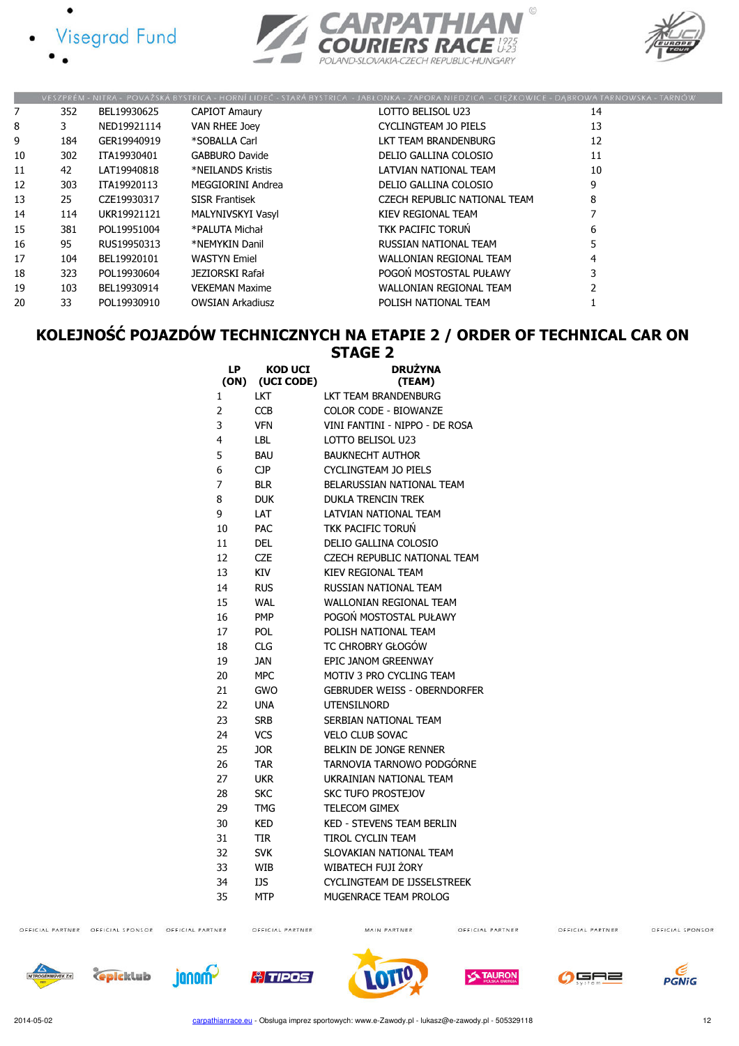







|    |     |             |                         | VESZPRÉM - NITRA - POVAŽSKÁ BYSTRICA - HORNÍ LIDEČ - STARÁ BYSTRICA - JABŁONKA - ZAPORA NIEDZICA - CIĘŻKOWICE - DĄBROWA TARNOWSKA - TARNÓW |    |
|----|-----|-------------|-------------------------|--------------------------------------------------------------------------------------------------------------------------------------------|----|
| 7  | 352 | BEL19930625 | <b>CAPIOT Amaury</b>    | LOTTO BELISOL U23                                                                                                                          | 14 |
| 8  | 3   | NED19921114 | VAN RHEE Joey           | CYCLINGTEAM JO PIELS                                                                                                                       | 13 |
| 9  | 184 | GER19940919 | *SOBALLA Carl           | LKT TEAM BRANDENBURG                                                                                                                       | 12 |
| 10 | 302 | ITA19930401 | <b>GABBURO Davide</b>   | DELIO GALLINA COLOSIO                                                                                                                      | 11 |
| 11 | 42  | LAT19940818 | *NEILANDS Kristis       | LATVIAN NATIONAL TEAM                                                                                                                      | 10 |
| 12 | 303 | ITA19920113 | MEGGIORINI Andrea       | DELIO GALLINA COLOSIO                                                                                                                      | 9  |
| 13 | 25  | CZE19930317 | <b>SISR Frantisek</b>   | CZECH REPUBLIC NATIONAL TEAM                                                                                                               | 8  |
| 14 | 114 | UKR19921121 | MALYNIVSKYI Vasyl       | KIEV REGIONAL TEAM                                                                                                                         |    |
| 15 | 381 | POL19951004 | *PALUTA Michał          | TKK PACIFIC TORUN                                                                                                                          | 6  |
| 16 | 95  | RUS19950313 | *NEMYKIN Danil          | RUSSIAN NATIONAL TEAM                                                                                                                      |    |
| 17 | 104 | BEL19920101 | <b>WASTYN Emiel</b>     | <b>WALLONIAN REGIONAL TEAM</b>                                                                                                             |    |
| 18 | 323 | POL19930604 | JEZIORSKI Rafał         | POGOŃ MOSTOSTAL PUŁAWY                                                                                                                     |    |
| 19 | 103 | BEL19930914 | <b>VEKEMAN Maxime</b>   | <b>WALLONIAN REGIONAL TEAM</b>                                                                                                             |    |
| 20 | 33  | POL19930910 | <b>OWSIAN Arkadiusz</b> | POLISH NATIONAL TEAM                                                                                                                       |    |

### KOLEJNOŚĆ POJAZDÓW TECHNICZNYCH NA ETAPIE 2 / ORDER OF TECHNICAL CAR ON STAGE 2

| LP<br>(ON) | <b>KOD UCI</b><br>(UCI CODE) | <b>DRUŻYNA</b><br>(TEAM)            |
|------------|------------------------------|-------------------------------------|
| 1          | LKT                          | LKT TEAM BRANDENBURG                |
| 2          | <b>CCB</b>                   | COLOR CODE - BIOWANZE               |
| 3          | <b>VFN</b>                   | VINI FANTINI - NIPPO - DE ROSA      |
| 4          | LBL                          | LOTTO BELISOL U23                   |
| 5          | <b>BAU</b>                   | <b>BAUKNECHT AUTHOR</b>             |
| 6          | <b>CJP</b>                   | <b>CYCLINGTEAM JO PIELS</b>         |
| 7          | <b>BLR</b>                   | BELARUSSIAN NATIONAL TEAM           |
| 8          | <b>DUK</b>                   | <b>DUKLA TRENCIN TREK</b>           |
| 9          | LAT                          | LATVIAN NATIONAL TEAM               |
| 10         | <b>PAC</b>                   | TKK PACIFIC TORUŃ                   |
| 11         | DEL                          | DELIO GALLINA COLOSIO               |
| 12         | CZE                          | CZECH REPUBLIC NATIONAL TEAM        |
| 13         | KIV                          | <b>KIEV REGIONAL TEAM</b>           |
| 14         | <b>RUS</b>                   | RUSSIAN NATIONAL TEAM               |
| 15         | <b>WAL</b>                   | <b>WALLONIAN REGIONAL TEAM</b>      |
| 16         | <b>PMP</b>                   | POGOŃ MOSTOSTAL PUŁAWY              |
| 17         | <b>POL</b>                   | POLISH NATIONAL TEAM                |
| 18         | CLG                          | TC CHROBRY GŁOGÓW                   |
| 19         | <b>JAN</b>                   | EPIC JANOM GREENWAY                 |
| 20         | <b>MPC</b>                   | MOTIV 3 PRO CYCLING TEAM            |
| 21         | <b>GWO</b>                   | <b>GEBRUDER WEISS - OBERNDORFER</b> |
| 22         | UNA                          | <b>UTENSILNORD</b>                  |
| 23         | <b>SRB</b>                   | SERBIAN NATIONAL TEAM               |
| 24         | <b>VCS</b>                   | <b>VELO CLUB SOVAC</b>              |
| 25         | <b>JOR</b>                   | BELKIN DE JONGE RENNER              |
| 26         | <b>TAR</b>                   | TARNOVIA TARNOWO PODGÓRNE           |
| 27         | UKR                          | UKRAINIAN NATIONAL TEAM             |
| 28         | <b>SKC</b>                   | <b>SKC TUFO PROSTEJOV</b>           |
| 29         | TMG                          | <b>TELECOM GIMEX</b>                |
| 30         | <b>KED</b>                   | <b>KED - STEVENS TEAM BERLIN</b>    |
| 31         | <b>TIR</b>                   | <b>TIROL CYCLIN TEAM</b>            |
| 32         | <b>SVK</b>                   | SLOVAKIAN NATIONAL TEAM             |
| 33         | <b>WIB</b>                   | WIBATECH FUJI ŻORY                  |
| 34         | IJS                          | CYCLINGTEAM DE IJSSELSTREEK         |
| 35         | <b>MTP</b>                   | MUGENRACE TEAM PROLOG               |

OFFICIAL PARTNER OFFICIAL SPONSOR OFFICIAL PARTNER

MAIN PARTNER

OFFICIAL PARTNER

OFFICIAL PARTNER

OFFICIAL SPONSOR





**A**TIPOS

OFFICIAL PARTNER







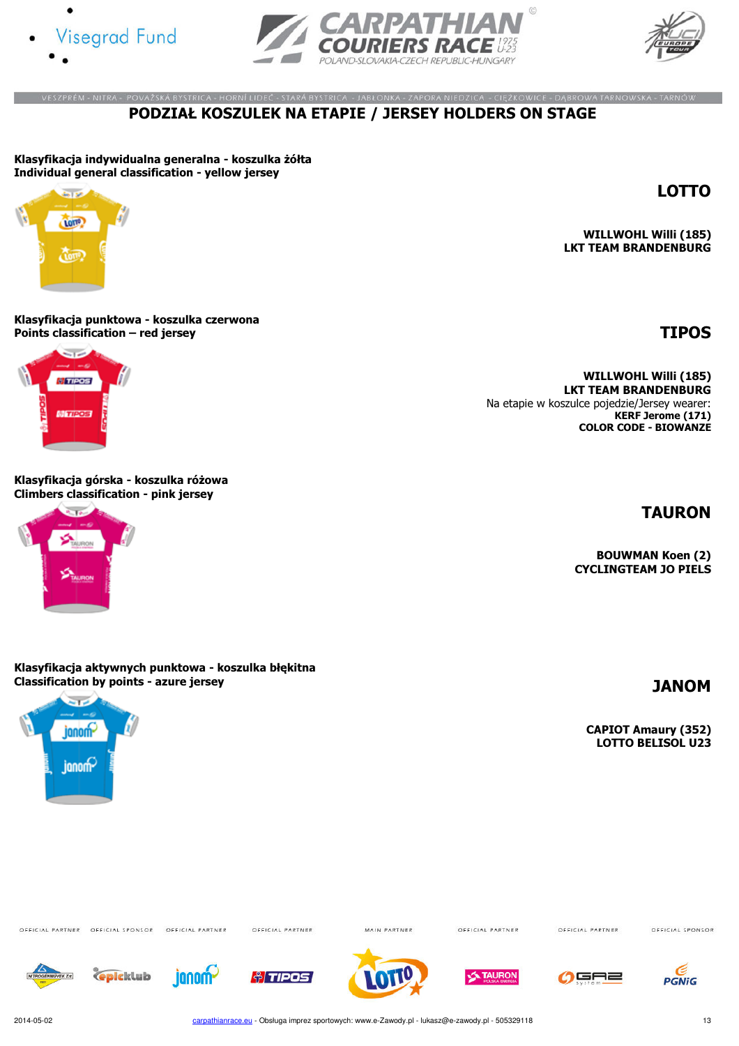





LOTTO

#### .<br>ZESZPRÉM - NITRA - POVAŽSKÁ BYSTRICA - HORNÍ LIDEČ - STARÁ BYSTRICA - JABŁONKA - ZAPORA NIEDZICA - CIĘŻKOWICE - DĄBROWA TARNOWSKA - TARNÓW PODZIAŁ KOSZULEK NA ETAPIE / JERSEY HOLDERS ON STAGE

Klasyfikacja indywidualna generalna - koszulka żółta Individual general classification - yellow jersey



WILLWOHL Willi (185) LKT TEAM BRANDENBURG

Klasyfikacja punktowa - koszulka czerwona Points classification – red jersey  $\blacksquare$ 



Klasyfikacja górska - koszulka różowa Climbers classification - pink jersey



#### WILLWOHL Willi (185) LKT TEAM BRANDENBURG Na etapie w koszulce pojedzie/Jersey wearer: KERF Jerome (171) COLOR CODE - BIOWANZE

TAURON

BOUWMAN Koen (2) CYCLINGTEAM JO PIELS

Klasyfikacja aktywnych punktowa - koszulka błękitna Classification by points - azure jersey JANOM



CAPIOT Amaury (352) LOTTO BELISOL U23

OFFICIAL PARTNER OFFICIAL SPONSOR OFFICIAL PARTNER

OFFICIAL PARTNER

MAIN PARTNER

OFFICIAL PARTNER

OFFICIAL PARTNER